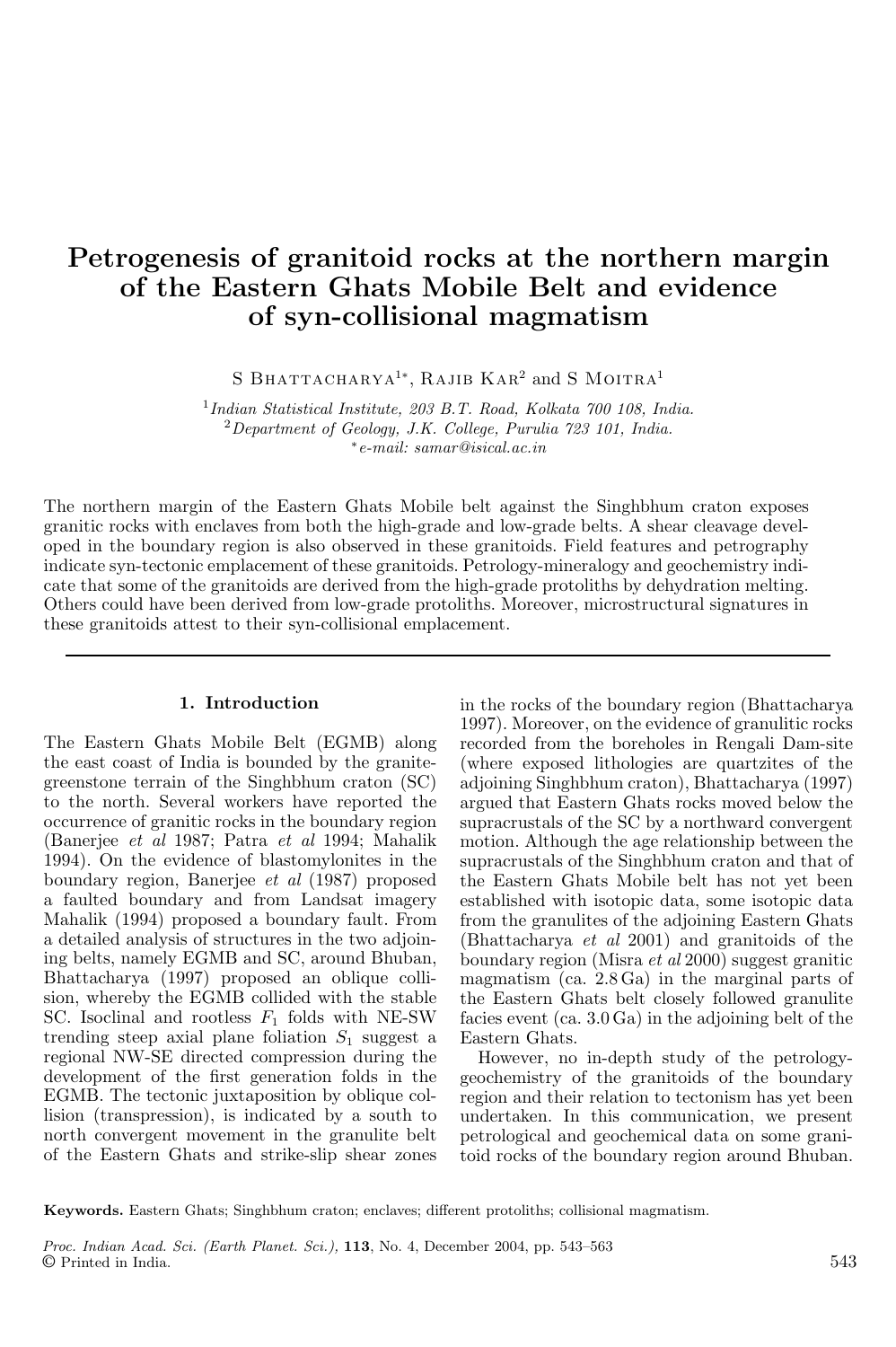# Petrogenesis of granitoid rocks at the northern margin of the Eastern Ghats Mobile Belt and evidence of syn-collisional magmatism

S BHATTACHARYA<sup>1∗</sup>, RAJIB KAR<sup>2</sup> and S MOITRA<sup>1</sup>

1 *Indian Statistical Institute, 203 B.T. Road, Kolkata 700 108, India.* <sup>2</sup>*Department of Geology, J.K. College, Purulia 723 101, India.* ∗ *e-mail: samar@isical.ac.in*

The northern margin of the Eastern Ghats Mobile belt against the Singhbhum craton exposes granitic rocks with enclaves from both the high-grade and low-grade belts. A shear cleavage developed in the boundary region is also observed in these granitoids. Field features and petrography indicate syn-tectonic emplacement of these granitoids. Petrology-mineralogy and geochemistry indicate that some of the granitoids are derived from the high-grade protoliths by dehydration melting. Others could have been derived from low-grade protoliths. Moreover, microstructural signatures in these granitoids attest to their syn-collisional emplacement.

### 1. Introduction

The Eastern Ghats Mobile Belt (EGMB) along the east coast of India is bounded by the granitegreenstone terrain of the Singhbhum craton (SC) to the north. Several workers have reported the occurrence of granitic rocks in the boundary region (Banerjee *et al* 1987; Patra *et al* 1994; Mahalik 1994). On the evidence of blastomylonites in the boundary region, Banerjee *et al* (1987) proposed a faulted boundary and from Landsat imagery Mahalik (1994) proposed a boundary fault. From a detailed analysis of structures in the two adjoining belts, namely EGMB and SC, around Bhuban, Bhattacharya (1997) proposed an oblique collision, whereby the EGMB collided with the stable SC. Isoclinal and rootless  $F_1$  folds with NE-SW trending steep axial plane foliation  $S_1$  suggest a regional NW-SE directed compression during the development of the first generation folds in the EGMB. The tectonic juxtaposition by oblique collision (transpression), is indicated by a south to north convergent movement in the granulite belt of the Eastern Ghats and strike-slip shear zones in the rocks of the boundary region (Bhattacharya 1997). Moreover, on the evidence of granulitic rocks recorded from the boreholes in Rengali Dam-site (where exposed lithologies are quartzites of the adjoining Singhbhum craton), Bhattacharya (1997) argued that Eastern Ghats rocks moved below the supracrustals of the SC by a northward convergent motion. Although the age relationship between the supracrustals of the Singhbhum craton and that of the Eastern Ghats Mobile belt has not yet been established with isotopic data, some isotopic data from the granulites of the adjoining Eastern Ghats (Bhattacharya *et al* 2001) and granitoids of the boundary region (Misra *et al* 2000) suggest granitic magmatism (ca. 2.8 Ga) in the marginal parts of the Eastern Ghats belt closely followed granulite facies event (ca. 3.0 Ga) in the adjoining belt of the Eastern Ghats.

However, no in-depth study of the petrologygeochemistry of the granitoids of the boundary region and their relation to tectonism has yet been undertaken. In this communication, we present petrological and geochemical data on some granitoid rocks of the boundary region around Bhuban.

Keywords. Eastern Ghats; Singhbhum craton; enclaves; different protoliths; collisional magmatism.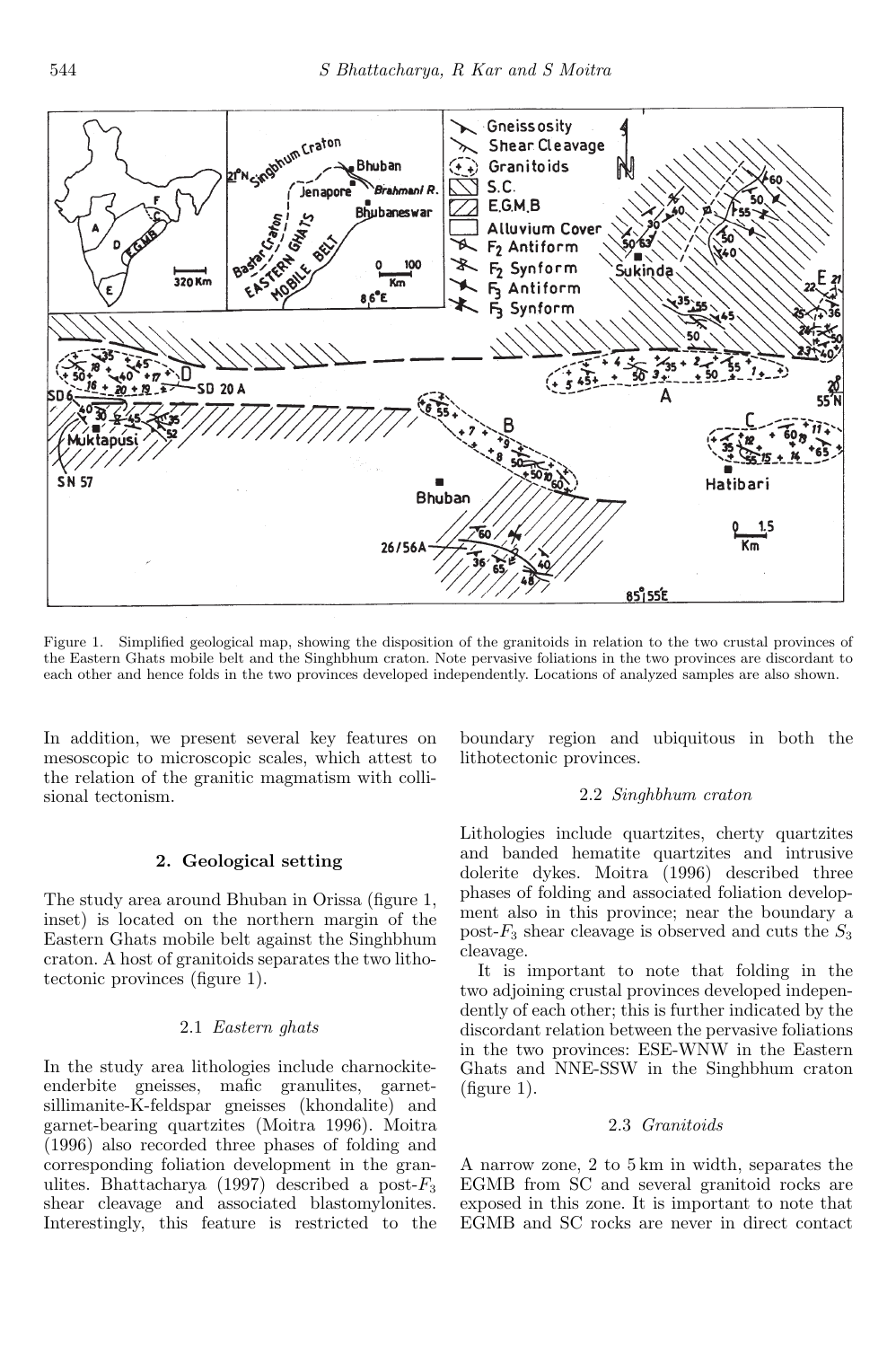

Figure 1. Simplified geological map, showing the disposition of the granitoids in relation to the two crustal provinces of the Eastern Ghats mobile belt and the Singhbhum craton. Note pervasive foliations in the two provinces are discordant to each other and hence folds in the two provinces developed independently. Locations of analyzed samples are also shown.

In addition, we present several key features on mesoscopic to microscopic scales, which attest to the relation of the granitic magmatism with collisional tectonism.

### 2. Geological setting

The study area around Bhuban in Orissa (figure 1, inset) is located on the northern margin of the Eastern Ghats mobile belt against the Singhbhum craton. A host of granitoids separates the two lithotectonic provinces (figure 1).

#### 2.1 *Eastern ghats*

In the study area lithologies include charnockiteenderbite gneisses, mafic granulites, garnetsillimanite-K-feldspar gneisses (khondalite) and garnet-bearing quartzites (Moitra 1996). Moitra (1996) also recorded three phases of folding and corresponding foliation development in the granulites. Bhattacharya (1997) described a post- $F_3$ shear cleavage and associated blastomylonites. Interestingly, this feature is restricted to the boundary region and ubiquitous in both the lithotectonic provinces.

#### 2.2 *Singhbhum craton*

Lithologies include quartzites, cherty quartzites and banded hematite quartzites and intrusive dolerite dykes. Moitra (1996) described three phases of folding and associated foliation development also in this province; near the boundary a post- $F_3$  shear cleavage is observed and cuts the  $S_3$ cleavage.

It is important to note that folding in the two adjoining crustal provinces developed independently of each other; this is further indicated by the discordant relation between the pervasive foliations in the two provinces: ESE-WNW in the Eastern Ghats and NNE-SSW in the Singhbhum craton (figure 1).

### 2.3 *Granitoids*

A narrow zone, 2 to 5 km in width, separates the EGMB from SC and several granitoid rocks are exposed in this zone. It is important to note that EGMB and SC rocks are never in direct contact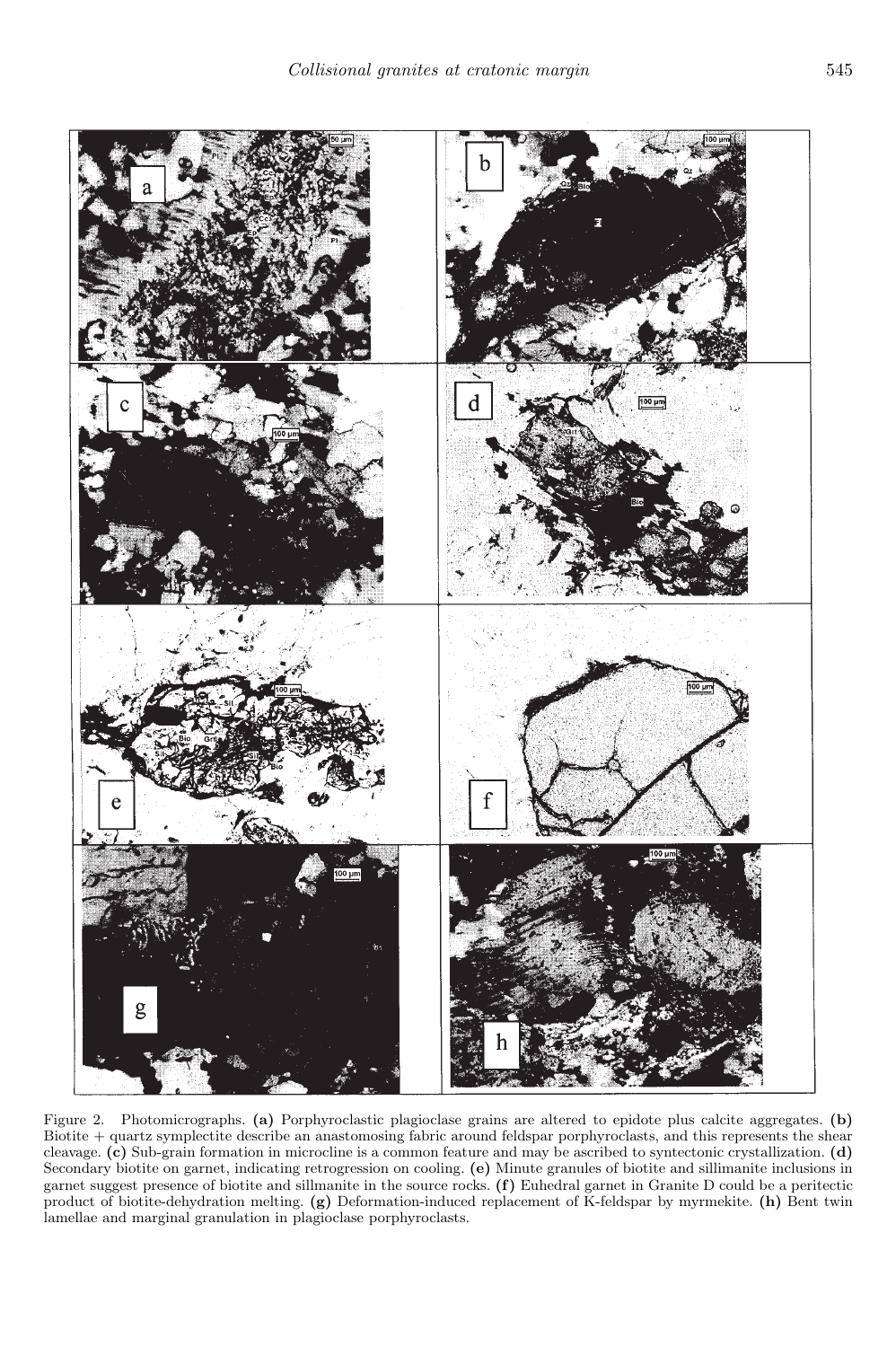

Figure 2. Photomicrographs. (a) Porphyroclastic plagioclase grains are altered to epidote plus calcite aggregates. (b) Biotite + quartz symplectite describe an anastomosing fabric around feldspar porphyroclasts, and this represents the shear cleavage. (c) Sub-grain formation in microcline is a common feature and may be ascribed to syntectonic crystallization. (d) Secondary biotite on garnet, indicating retrogression on cooling. (e) Minute granules of biotite and sillimanite inclusions in garnet suggest presence of biotite and sillmanite in the source rocks. (f) Euhedral garnet in Granite D could be a peritectic product of biotite-dehydration melting. (g) Deformation-induced replacement of K-feldspar by myrmekite. (h) Bent twin lamellae and marginal granulation in plagioclase porphyroclasts.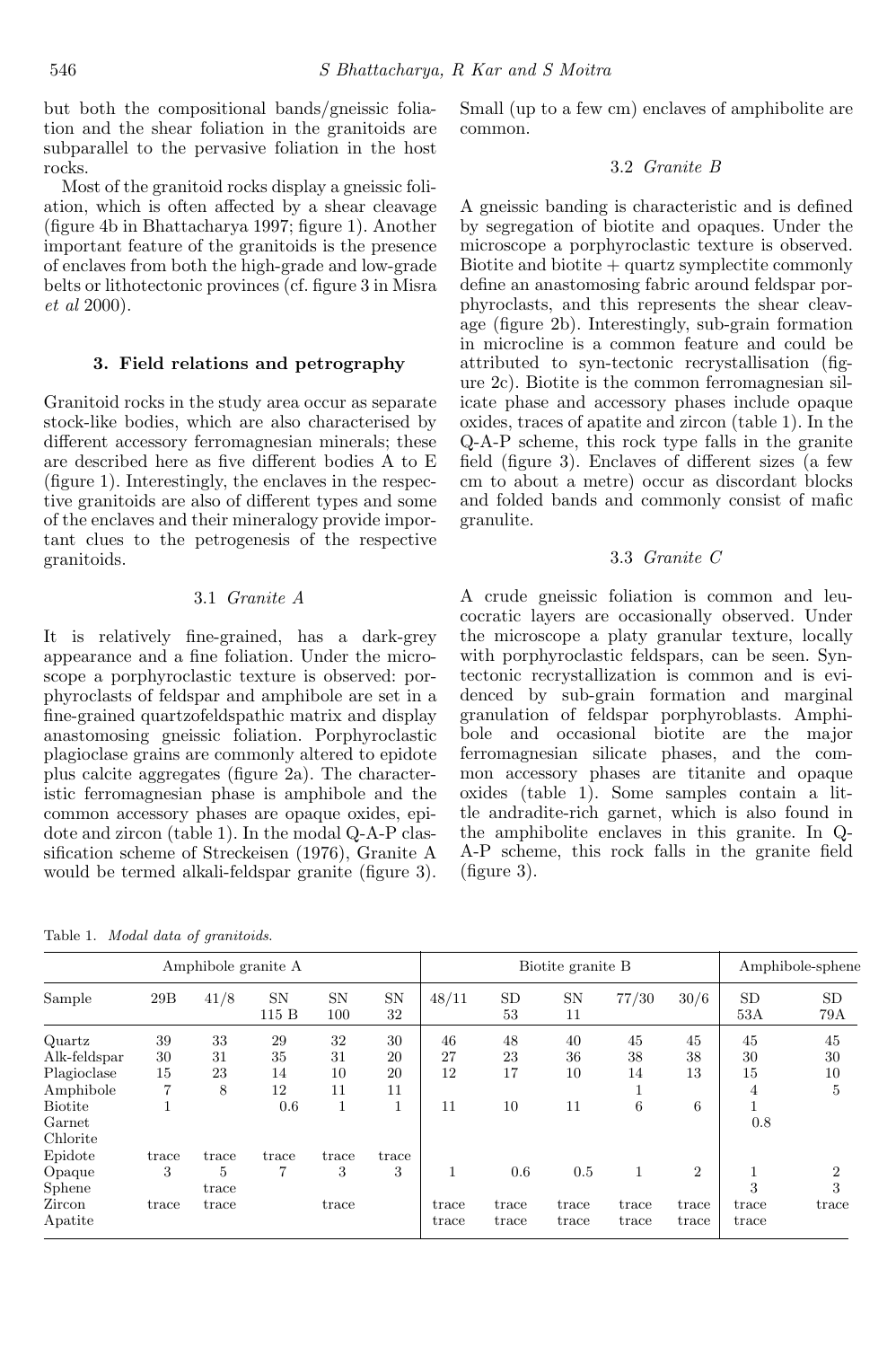but both the compositional bands/gneissic foliation and the shear foliation in the granitoids are subparallel to the pervasive foliation in the host rocks.

Most of the granitoid rocks display a gneissic foliation, which is often affected by a shear cleavage (figure 4b in Bhattacharya 1997; figure 1). Another important feature of the granitoids is the presence of enclaves from both the high-grade and low-grade belts or lithotectonic provinces (cf. figure 3 in Misra *et al* 2000).

#### 3. Field relations and petrography

Granitoid rocks in the study area occur as separate stock-like bodies, which are also characterised by different accessory ferromagnesian minerals; these are described here as five different bodies A to E (figure 1). Interestingly, the enclaves in the respective granitoids are also of different types and some of the enclaves and their mineralogy provide important clues to the petrogenesis of the respective granitoids.

### 3.1 *Granite A*

It is relatively fine-grained, has a dark-grey appearance and a fine foliation. Under the microscope a porphyroclastic texture is observed: porphyroclasts of feldspar and amphibole are set in a fine-grained quartzofeldspathic matrix and display anastomosing gneissic foliation. Porphyroclastic plagioclase grains are commonly altered to epidote plus calcite aggregates (figure 2a). The characteristic ferromagnesian phase is amphibole and the common accessory phases are opaque oxides, epidote and zircon (table 1). In the modal Q-A-P classification scheme of Streckeisen (1976), Granite A would be termed alkali-feldspar granite (figure 3).

Table 1. Modal data of granitoids.

Small (up to a few cm) enclaves of amphibolite are common.

### 3.2 *Granite B*

A gneissic banding is characteristic and is defined by segregation of biotite and opaques. Under the microscope a porphyroclastic texture is observed.  $Biotite and biotite + quartz symplectic commonly$ define an anastomosing fabric around feldspar porphyroclasts, and this represents the shear cleavage (figure 2b). Interestingly, sub-grain formation in microcline is a common feature and could be attributed to syn-tectonic recrystallisation (figure 2c). Biotite is the common ferromagnesian silicate phase and accessory phases include opaque oxides, traces of apatite and zircon (table 1). In the Q-A-P scheme, this rock type falls in the granite field (figure 3). Enclaves of different sizes (a few cm to about a metre) occur as discordant blocks and folded bands and commonly consist of mafic granulite.

### 3.3 *Granite C*

A crude gneissic foliation is common and leucocratic layers are occasionally observed. Under the microscope a platy granular texture, locally with porphyroclastic feldspars, can be seen. Syntectonic recrystallization is common and is evidenced by sub-grain formation and marginal granulation of feldspar porphyroblasts. Amphibole and occasional biotite are the major ferromagnesian silicate phases, and the common accessory phases are titanite and opaque oxides (table 1). Some samples contain a little andradite-rich garnet, which is also found in the amphibolite enclaves in this granite. In Q-A-P scheme, this rock falls in the granite field (figure 3).

|                |       | Amphibole granite A |                      |                  |                 | Biotite granite B |                 |                 |       |                |                  | Amphibole-sphene |
|----------------|-------|---------------------|----------------------|------------------|-----------------|-------------------|-----------------|-----------------|-------|----------------|------------------|------------------|
| Sample         | 29B   | 41/8                | <b>SN</b><br>$115 B$ | <b>SN</b><br>100 | <b>SN</b><br>32 | 48/11             | <b>SD</b><br>53 | <b>SN</b><br>11 | 77/30 | 30/6           | <b>SD</b><br>53A | <b>SD</b><br>79A |
| Quartz         | 39    | 33                  | 29                   | 32               | 30              | 46                | 48              | 40              | 45    | 45             | 45               | 45               |
| Alk-feldspar   | 30    | 31                  | 35                   | 31               | 20              | 27                | 23              | 36              | 38    | 38             | 30               | 30               |
| Plagioclase    | 15    | 23                  | 14                   | 10               | 20              | 12                | 17              | 10              | 14    | 13             | 15               | 10               |
| Amphibole      | 7     | 8                   | 12                   | 11               | 11              |                   |                 |                 |       |                | 4                | 5                |
| <b>Biotite</b> |       |                     | 0.6                  | 1                | $\perp$         | 11                | 10              | 11              | 6     | 6              |                  |                  |
| Garnet         |       |                     |                      |                  |                 |                   |                 |                 |       |                | 0.8              |                  |
| Chlorite       |       |                     |                      |                  |                 |                   |                 |                 |       |                |                  |                  |
| Epidote        | trace | trace               | trace                | trace            | trace           |                   |                 |                 |       |                |                  |                  |
| Opaque         | 3     | 5                   | $\overline{7}$       | 3                | 3               | $\mathbf{1}$      | 0.6             | 0.5             | 1     | $\overline{2}$ |                  | $\overline{2}$   |
| Sphene         |       | trace               |                      |                  |                 |                   |                 |                 |       |                | 3                | 3                |
| Zircon         | trace | trace               |                      | trace            |                 | trace             | trace           | trace           | trace | trace          | trace            | trace            |
| Apatite        |       |                     |                      |                  |                 | trace             | trace           | trace           | trace | trace          | trace            |                  |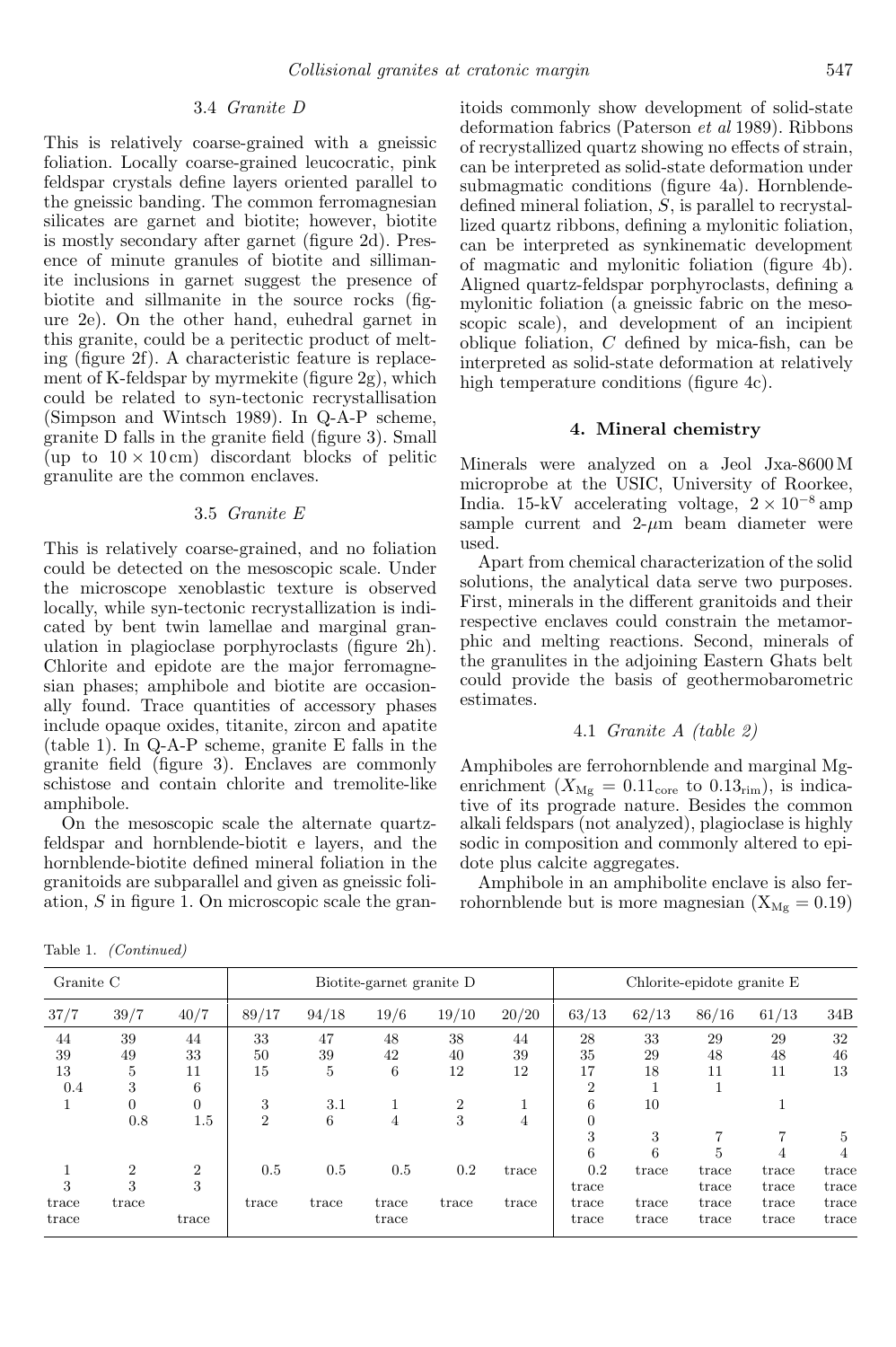#### 3.4 *Granite D*

This is relatively coarse-grained with a gneissic foliation. Locally coarse-grained leucocratic, pink feldspar crystals define layers oriented parallel to the gneissic banding. The common ferromagnesian silicates are garnet and biotite; however, biotite is mostly secondary after garnet (figure 2d). Presence of minute granules of biotite and sillimanite inclusions in garnet suggest the presence of biotite and sillmanite in the source rocks (figure 2e). On the other hand, euhedral garnet in this granite, could be a peritectic product of melting (figure 2f). A characteristic feature is replacement of K-feldspar by myrmekite (figure 2g), which could be related to syn-tectonic recrystallisation (Simpson and Wintsch 1989). In Q-A-P scheme, granite D falls in the granite field (figure 3). Small (up to  $10 \times 10$  cm) discordant blocks of pelitic granulite are the common enclaves.

#### 3.5 *Granite E*

This is relatively coarse-grained, and no foliation could be detected on the mesoscopic scale. Under the microscope xenoblastic texture is observed locally, while syn-tectonic recrystallization is indicated by bent twin lamellae and marginal granulation in plagioclase porphyroclasts (figure 2h). Chlorite and epidote are the major ferromagnesian phases; amphibole and biotite are occasionally found. Trace quantities of accessory phases include opaque oxides, titanite, zircon and apatite (table 1). In Q-A-P scheme, granite E falls in the granite field (figure 3). Enclaves are commonly schistose and contain chlorite and tremolite-like amphibole.

On the mesoscopic scale the alternate quartzfeldspar and hornblende-biotit e layers, and the hornblende-biotite defined mineral foliation in the granitoids are subparallel and given as gneissic foliation, S in figure 1. On microscopic scale the granitoids commonly show development of solid-state deformation fabrics (Paterson *et al* 1989). Ribbons of recrystallized quartz showing no effects of strain, can be interpreted as solid-state deformation under submagmatic conditions (figure 4a). Hornblendedefined mineral foliation, S, is parallel to recrystallized quartz ribbons, defining a mylonitic foliation, can be interpreted as synkinematic development of magmatic and mylonitic foliation (figure 4b). Aligned quartz-feldspar porphyroclasts, defining a mylonitic foliation (a gneissic fabric on the mesoscopic scale), and development of an incipient oblique foliation, C defined by mica-fish, can be interpreted as solid-state deformation at relatively high temperature conditions (figure 4c).

#### 4. Mineral chemistry

Minerals were analyzed on a Jeol Jxa-8600 M microprobe at the USIC, University of Roorkee, India. 15-kV accelerating voltage,  $2 \times 10^{-8}$  amp sample current and  $2-\mu m$  beam diameter were used.

Apart from chemical characterization of the solid solutions, the analytical data serve two purposes. First, minerals in the different granitoids and their respective enclaves could constrain the metamorphic and melting reactions. Second, minerals of the granulites in the adjoining Eastern Ghats belt could provide the basis of geothermobarometric estimates.

### 4.1 *Granite A (table 2)*

Amphiboles are ferrohornblende and marginal Mgenrichment  $(X_{\text{Mg}} = 0.11_{\text{core}}$  to  $0.13_{\text{rim}})$ , is indicative of its prograde nature. Besides the common alkali feldspars (not analyzed), plagioclase is highly sodic in composition and commonly altered to epidote plus calcite aggregates.

Amphibole in an amphibolite enclave is also ferrohornblende but is more magnesian  $(X_{Mg} = 0.19)$ 

Table 1. (Continued)

| Granite C |                |                |                |       | Biotite-garnet granite D |                |       | Chlorite-epidote granite E |       |       |       |       |
|-----------|----------------|----------------|----------------|-------|--------------------------|----------------|-------|----------------------------|-------|-------|-------|-------|
| 37/7      | 39/7           | 40/7           | 89/17          | 94/18 | 19/6                     | 19/10          | 20/20 | 63/13                      | 62/13 | 86/16 | 61/13 | 34B   |
| 44        | 39             | 44             | 33             | 47    | 48                       | 38             | 44    | 28                         | 33    | 29    | 29    | 32    |
| 39        | 49             | 33             | 50             | 39    | 42                       | 40             | 39    | 35                         | 29    | 48    | 48    | 46    |
| 13        | 5              | 11             | 15             | 5     | 6                        | 12             | 12    | 17                         | 18    | 11    | 11    | 13    |
| 0.4       | 3              | 6              |                |       |                          |                |       | $\overline{2}$             |       |       |       |       |
|           | $\overline{0}$ | $\overline{0}$ | 3              | 3.1   |                          | $\overline{2}$ | м     | 6                          | 10    |       |       |       |
|           | 0.8            | 1.5            | $\overline{2}$ | 6     | 4                        | 3              | 4     | $\overline{0}$             |       |       |       |       |
|           |                |                |                |       |                          |                |       | 3                          | 3     |       |       | 5     |
|           |                |                |                |       |                          |                |       | 6                          | 6     | 5     | 4     | 4     |
|           | $\overline{2}$ | $\overline{2}$ | 0.5            | 0.5   | 0.5                      | 0.2            | trace | 0.2                        | trace | trace | trace | trace |
| 3         | 3              | 3              |                |       |                          |                |       | trace                      |       | trace | trace | trace |
| trace     | trace          |                | trace          | trace | trace                    | trace          | trace | trace                      | trace | trace | trace | trace |
| trace     |                | trace          |                |       | trace                    |                |       | trace                      | trace | trace | trace | trace |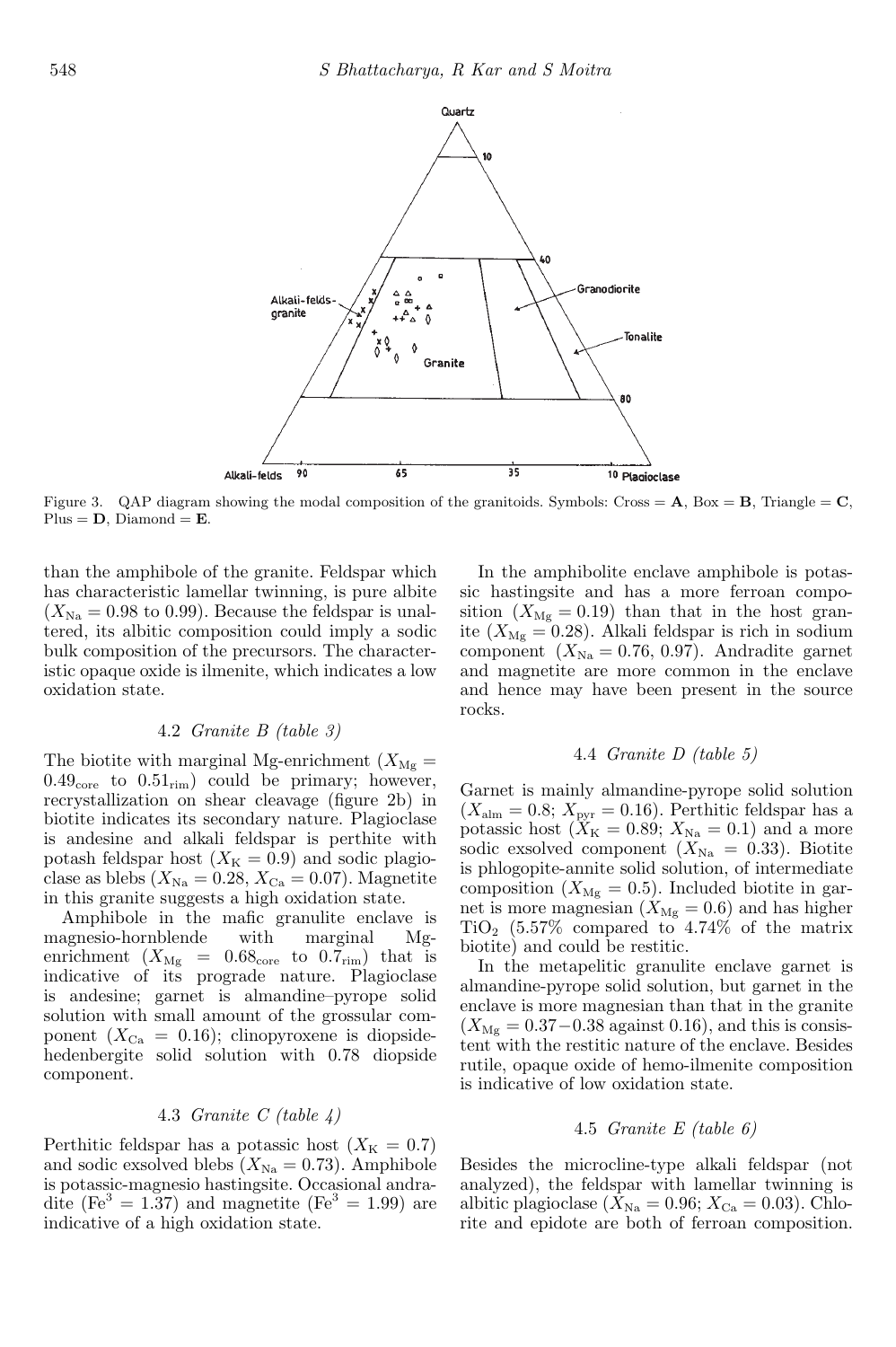

Figure 3. QAP diagram showing the modal composition of the granitoids. Symbols: Cross =  $\mathbf{A}$ , Box =  $\mathbf{B}$ , Triangle =  $\mathbf{C}$ , Plus =  $D$ , Diamond =  $E$ .

than the amphibole of the granite. Feldspar which has characteristic lamellar twinning, is pure albite  $(X_{\text{Na}} = 0.98 \text{ to } 0.99)$ . Because the feldspar is unaltered, its albitic composition could imply a sodic bulk composition of the precursors. The characteristic opaque oxide is ilmenite, which indicates a low oxidation state.

### 4.2 *Granite B (table 3)*

The biotite with marginal Mg-enrichment  $(X_{\text{Mg}} =$  $0.49<sub>core</sub>$  to  $0.51<sub>rim</sub>$  could be primary; however, recrystallization on shear cleavage (figure 2b) in biotite indicates its secondary nature. Plagioclase is andesine and alkali feldspar is perthite with potash feldspar host  $(X_K = 0.9)$  and sodic plagioclase as blebs  $(X_{\text{Na}} = 0.28, X_{\text{Ca}} = 0.07)$ . Magnetite in this granite suggests a high oxidation state.

Amphibole in the mafic granulite enclave is magnesio-hornblende with marginal Mgenrichment  $(X_{\text{Mg}} = 0.68_{\text{core}}$  to  $0.7_{\text{rim}})$  that is indicative of its prograde nature. Plagioclase is andesine; garnet is almandine–pyrope solid solution with small amount of the grossular component  $(X_{Ca} = 0.16)$ ; clinopyroxene is diopsidehedenbergite solid solution with 0.78 diopside component.

### 4.3 *Granite C (table 4)*

Perthitic feldspar has a potassic host  $(X_K = 0.7)$ and sodic exsolved blebs  $(X_{\text{Na}} = 0.73)$ . Amphibole is potassic-magnesio hastingsite. Occasional andradite (Fe<sup>3</sup> = 1.37) and magnetite (Fe<sup>3</sup> = 1.99) are indicative of a high oxidation state.

In the amphibolite enclave amphibole is potassic hastingsite and has a more ferroan composition  $(X_{\text{Mg}} = 0.19)$  than that in the host granite ( $X_{\text{Mg}} = 0.28$ ). Alkali feldspar is rich in sodium component  $(X_{\text{Na}} = 0.76, 0.97)$ . Andradite garnet and magnetite are more common in the enclave and hence may have been present in the source rocks.

#### 4.4 *Granite D (table 5)*

Garnet is mainly almandine-pyrope solid solution  $(X_{\text{alm}} = 0.8; X_{\text{pvr}} = 0.16)$ . Perthitic feldspar has a potassic host  $(X_K = 0.89; X_{\text{Na}} = 0.1)$  and a more sodic exsolved component  $(X_{Na} = 0.33)$ . Biotite is phlogopite-annite solid solution, of intermediate composition  $(X_{\text{Mg}} = 0.5)$ . Included biotite in garnet is more magnesian  $(X_{\text{Mg}} = 0.6)$  and has higher  $TiO<sub>2</sub>$  (5.57% compared to 4.74% of the matrix biotite) and could be restitic.

In the metapelitic granulite enclave garnet is almandine-pyrope solid solution, but garnet in the enclave is more magnesian than that in the granite  $(X_{\text{Mg}} = 0.37 - 0.38 \text{ against } 0.16)$ , and this is consistent with the restitic nature of the enclave. Besides rutile, opaque oxide of hemo-ilmenite composition is indicative of low oxidation state.

### 4.5 *Granite E (table 6)*

Besides the microcline-type alkali feldspar (not analyzed), the feldspar with lamellar twinning is albitic plagioclase  $(X_{\text{Na}} = 0.96; X_{\text{Ca}} = 0.03)$ . Chlorite and epidote are both of ferroan composition.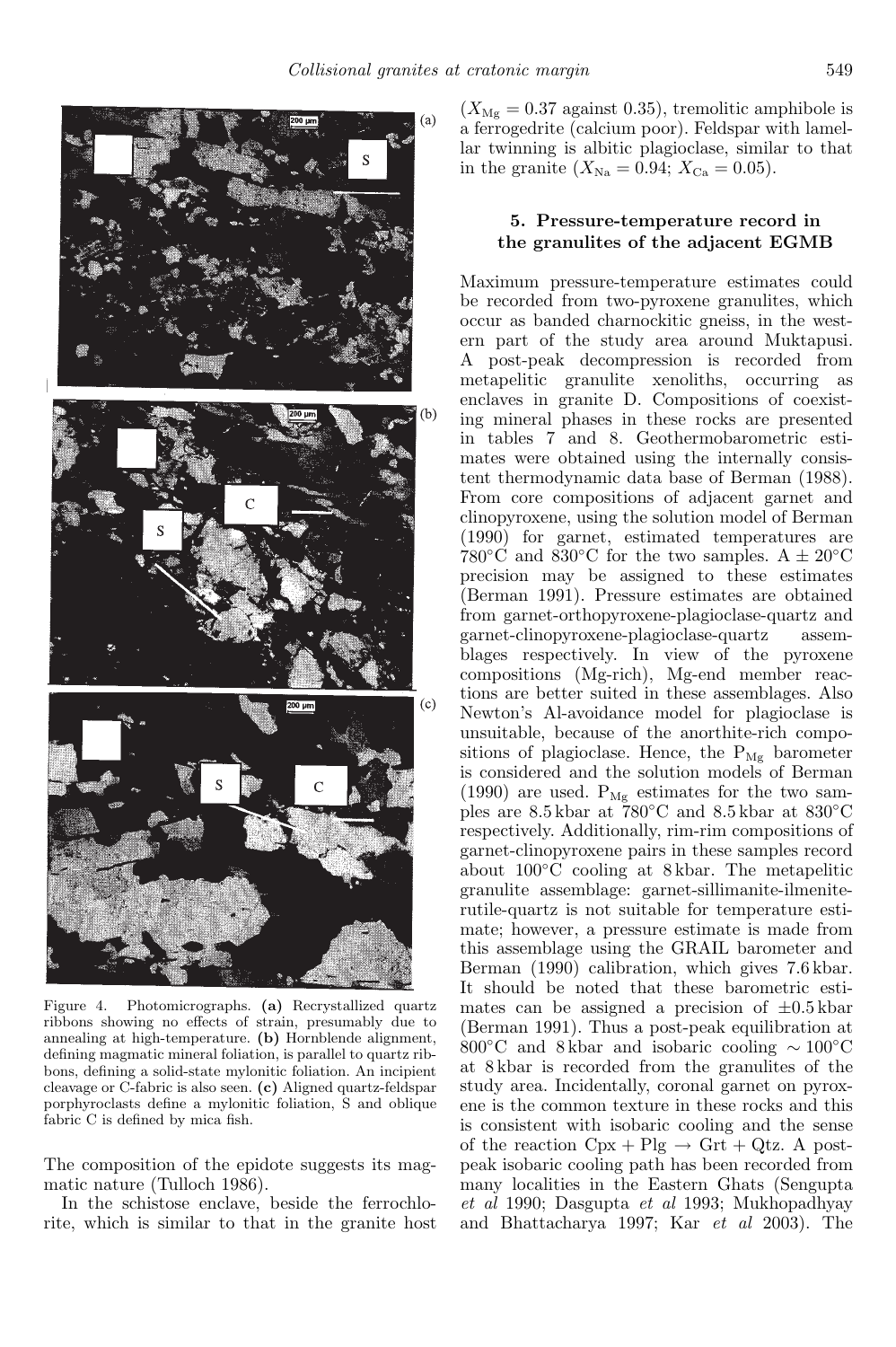

Figure 4. Photomicrographs. (a) Recrystallized quartz ribbons showing no effects of strain, presumably due to annealing at high-temperature. (b) Hornblende alignment, defining magmatic mineral foliation, is parallel to quartz ribbons, defining a solid-state mylonitic foliation. An incipient cleavage or C-fabric is also seen. (c) Aligned quartz-feldspar porphyroclasts define a mylonitic foliation, S and oblique fabric C is defined by mica fish.

The composition of the epidote suggests its magmatic nature (Tulloch 1986).

In the schistose enclave, beside the ferrochlorite, which is similar to that in the granite host  $(X_{\text{Mg}} = 0.37 \text{ against } 0.35)$ , tremolitic amphibole is a ferrogedrite (calcium poor). Feldspar with lamellar twinning is albitic plagioclase, similar to that in the granite  $(X_{\text{Na}} = 0.94; X_{\text{Ca}} = 0.05)$ .

### 5. Pressure-temperature record in the granulites of the adjacent EGMB

Maximum pressure-temperature estimates could be recorded from two-pyroxene granulites, which occur as banded charnockitic gneiss, in the western part of the study area around Muktapusi. A post-peak decompression is recorded from metapelitic granulite xenoliths, occurring as enclaves in granite D. Compositions of coexisting mineral phases in these rocks are presented in tables 7 and 8. Geothermobarometric estimates were obtained using the internally consistent thermodynamic data base of Berman (1988). From core compositions of adjacent garnet and clinopyroxene, using the solution model of Berman (1990) for garnet, estimated temperatures are 780°C and 830°C for the two samples. A  $\pm$  20°C precision may be assigned to these estimates (Berman 1991). Pressure estimates are obtained from garnet-orthopyroxene-plagioclase-quartz and garnet-clinopyroxene-plagioclase-quartz assemblages respectively. In view of the pyroxene compositions (Mg-rich), Mg-end member reactions are better suited in these assemblages. Also Newton's Al-avoidance model for plagioclase is unsuitable, because of the anorthite-rich compositions of plagioclase. Hence, the  $P_{Mg}$  barometer is considered and the solution models of Berman (1990) are used.  $P_{Mg}$  estimates for the two samples are 8.5 kbar at 780◦C and 8.5 kbar at 830◦C respectively. Additionally, rim-rim compositions of garnet-clinopyroxene pairs in these samples record about 100◦C cooling at 8 kbar. The metapelitic granulite assemblage: garnet-sillimanite-ilmeniterutile-quartz is not suitable for temperature estimate; however, a pressure estimate is made from this assemblage using the GRAIL barometer and Berman (1990) calibration, which gives 7.6 kbar. It should be noted that these barometric estimates can be assigned a precision of  $\pm 0.5$  kbar (Berman 1991). Thus a post-peak equilibration at 800◦C and 8 kbar and isobaric cooling ∼ 100◦C at 8 kbar is recorded from the granulites of the study area. Incidentally, coronal garnet on pyroxene is the common texture in these rocks and this is consistent with isobaric cooling and the sense of the reaction  $Cpx + Plg \rightarrow Grt + Qtz$ . A postpeak isobaric cooling path has been recorded from many localities in the Eastern Ghats (Sengupta *et al* 1990; Dasgupta *et al* 1993; Mukhopadhyay and Bhattacharya 1997; Kar *et al* 2003). The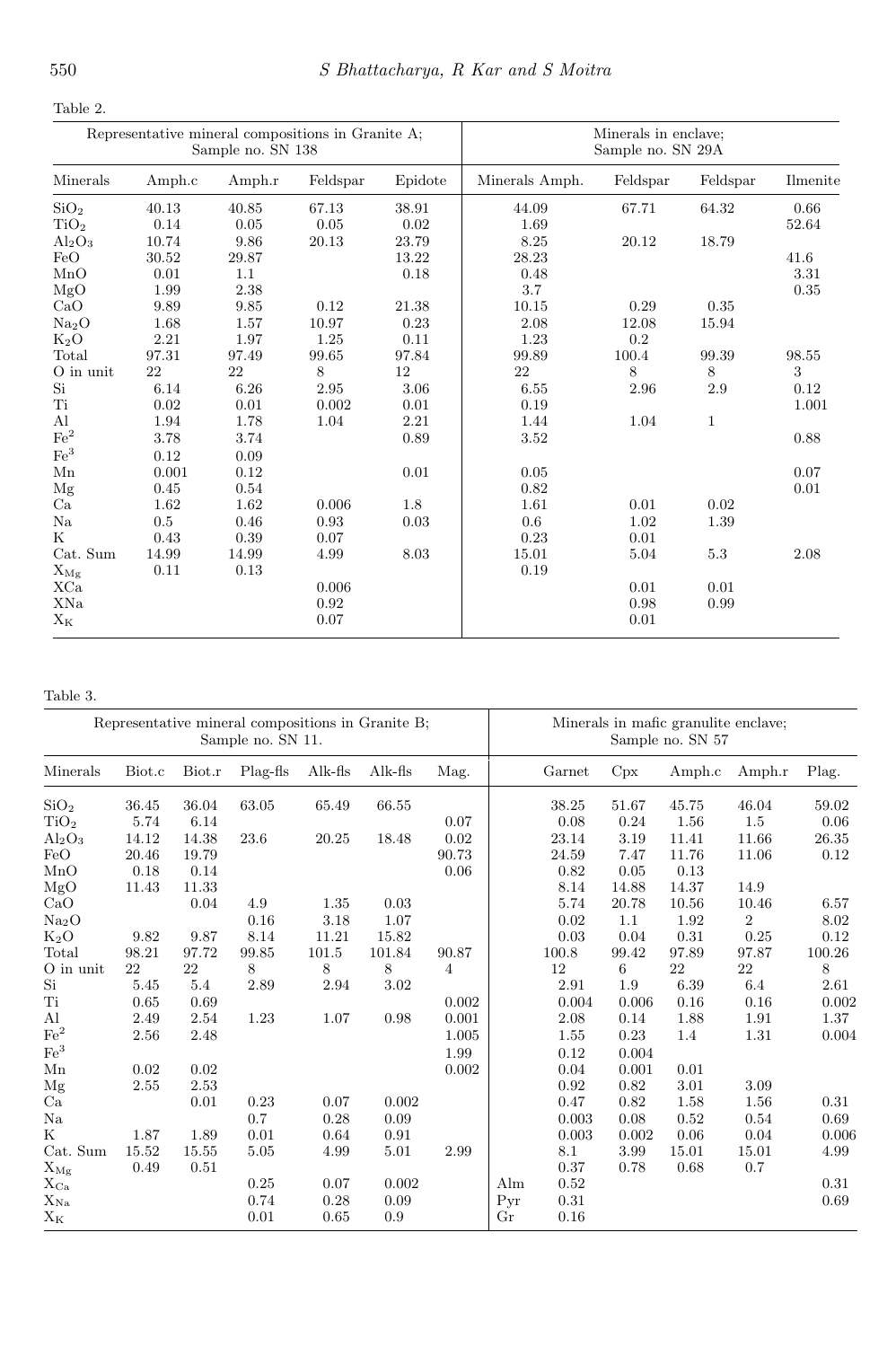| ٠<br>۰.<br>. . |  |
|----------------|--|
|----------------|--|

|                             |          | Sample no. SN 138 | Representative mineral compositions in Granite A; |          | Minerals in enclave;<br>Sample no. SN 29A |            |              |          |  |  |
|-----------------------------|----------|-------------------|---------------------------------------------------|----------|-------------------------------------------|------------|--------------|----------|--|--|
| Minerals                    | Amph.c   | Amph.r            | Feldspar                                          | Epidote  | Minerals Amph.                            | Feldspar   | Feldspar     | Ilmenite |  |  |
| SiO <sub>2</sub>            | 40.13    | 40.85             | 67.13                                             | 38.91    | 44.09                                     | 67.71      | 64.32        | 0.66     |  |  |
| TiO <sub>2</sub>            | 0.14     | 0.05              | 0.05                                              | 0.02     | 1.69                                      |            |              | 52.64    |  |  |
| $Al_2O_3$                   | 10.74    | 9.86              | 20.13                                             | 23.79    | 8.25                                      | 20.12      | 18.79        |          |  |  |
| FeO                         | 30.52    | 29.87             |                                                   | 13.22    | 28.23                                     |            |              | 41.6     |  |  |
| MnO                         | 0.01     | 1.1               |                                                   | 0.18     | 0.48                                      |            |              | 3.31     |  |  |
| MgO                         | 1.99     | 2.38              |                                                   |          | 3.7                                       |            |              | 0.35     |  |  |
| CaO                         | 9.89     | 9.85              | 0.12                                              | 21.38    | 10.15                                     | 0.29       | 0.35         |          |  |  |
| Na <sub>2</sub> O           | 1.68     | 1.57              | 10.97                                             | 0.23     | 2.08                                      | 12.08      | 15.94        |          |  |  |
| $K_2O$                      | 2.21     | 1.97              | 1.25                                              | 0.11     | 1.23                                      | 0.2        |              |          |  |  |
| Total                       | 97.31    | 97.49             | 99.65                                             | 97.84    | 99.89                                     | 100.4      | 99.39        | 98.55    |  |  |
| $\mathrm{O}\xspace$ in unit | 22       | 22                | 8                                                 | 12       | 22                                        | 8          | 8            | 3        |  |  |
| $\mathrm{Si}$               | $6.14\,$ | 6.26              | $\;\:2.95$                                        | $3.06\,$ | 6.55                                      | $\;\:2.96$ | $2.9\,$      | $0.12\,$ |  |  |
| Ti                          | 0.02     | 0.01              | 0.002                                             | 0.01     | 0.19                                      |            |              | 1.001    |  |  |
| $\mathbf{Al}$               | 1.94     | 1.78              | 1.04                                              | 2.21     | 1.44                                      | 1.04       | $\mathbf{1}$ |          |  |  |
| $\rm Fe^2$                  | 3.78     | 3.74              |                                                   | 0.89     | 3.52                                      |            |              | 0.88     |  |  |
| $\mathrm{Fe}^3$             | 0.12     | 0.09              |                                                   |          |                                           |            |              |          |  |  |
| Mn                          | 0.001    | $0.12\,$          |                                                   | 0.01     | 0.05                                      |            |              | 0.07     |  |  |
| Mg                          | 0.45     | 0.54              |                                                   |          | 0.82                                      |            |              | 0.01     |  |  |
| Ca                          | 1.62     | 1.62              | 0.006                                             | 1.8      | 1.61                                      | 0.01       | 0.02         |          |  |  |
| $_{\rm Na}$                 | 0.5      | 0.46              | 0.93                                              | 0.03     | 0.6                                       | 1.02       | 1.39         |          |  |  |
| $_{\rm K}$                  | 0.43     | 0.39              | 0.07                                              |          | 0.23                                      | 0.01       |              |          |  |  |
| Cat. Sum                    | 14.99    | 14.99             | 4.99                                              | 8.03     | 15.01                                     | 5.04       | 5.3          | 2.08     |  |  |
| $\mathbf{X}_{\mathbf{Mg}}$  | 0.11     | 0.13              |                                                   |          | 0.19                                      |            |              |          |  |  |
| XCa                         |          |                   | 0.006                                             |          |                                           | 0.01       | 0.01         |          |  |  |
| XNa                         |          |                   | 0.92                                              |          |                                           | 0.98       | 0.99         |          |  |  |
| $X_K$                       |          |                   | 0.07                                              |          |                                           | 0.01       |              |          |  |  |

Table 3.

|                          |        |        | Representative mineral compositions in Granite B;<br>Sample no. SN 11. |           |           |                |          | Minerals in mafic granulite enclave;<br>Sample no. SN 57 |       |          |                |        |
|--------------------------|--------|--------|------------------------------------------------------------------------|-----------|-----------|----------------|----------|----------------------------------------------------------|-------|----------|----------------|--------|
| Minerals                 | Biot.c | Biot.r | Plag-fis                                                               | Alk-fis   | $Alk-fls$ | Mag.           |          | Garnet                                                   | Cpx   | Amph.c   | Amph.r         | Plag.  |
| SiO <sub>2</sub>         | 36.45  | 36.04  | 63.05                                                                  | 65.49     | 66.55     |                |          | 38.25                                                    | 51.67 | 45.75    | 46.04          | 59.02  |
| TiO <sub>2</sub>         | 5.74   | 6.14   |                                                                        |           |           | 0.07           |          | 0.08                                                     | 0.24  | 1.56     | 1.5            | 0.06   |
| $Al_2O_3$                | 14.12  | 14.38  | 23.6                                                                   | 20.25     | 18.48     | $\rm 0.02$     |          | 23.14                                                    | 3.19  | 11.41    | 11.66          | 26.35  |
| FeO                      | 20.46  | 19.79  |                                                                        |           |           | 90.73          |          | 24.59                                                    | 7.47  | 11.76    | 11.06          | 0.12   |
| MnO                      | 0.18   | 0.14   |                                                                        |           |           | 0.06           |          | 0.82                                                     | 0.05  | 0.13     |                |        |
| MgO                      | 11.43  | 11.33  |                                                                        |           |           |                |          | 8.14                                                     | 14.88 | 14.37    | 14.9           |        |
| CaO                      |        | 0.04   | 4.9                                                                    | 1.35      | 0.03      |                |          | 5.74                                                     | 20.78 | 10.56    | 10.46          | 6.57   |
| Na <sub>2</sub> O        |        |        | 0.16                                                                   | 3.18      | 1.07      |                |          | 0.02                                                     | 1.1   | 1.92     | $\overline{2}$ | 8.02   |
| $K_2O$                   | 9.82   | 9.87   | 8.14                                                                   | 11.21     | 15.82     |                |          | 0.03                                                     | 0.04  | 0.31     | 0.25           | 0.12   |
| Total                    | 98.21  | 97.72  | 99.85                                                                  | $101.5\,$ | 101.84    | 90.87          |          | 100.8                                                    | 99.42 | 97.89    | 97.87          | 100.26 |
| O in unit                | 22     | 22     | 8                                                                      | 8         | 8         | $\overline{4}$ |          | 12                                                       | 6     | 22       | 22             | 8      |
| Si                       | 5.45   | 5.4    | 2.89                                                                   | 2.94      | 3.02      |                |          | 2.91                                                     | 1.9   | 6.39     | 6.4            | 2.61   |
| Ti                       | 0.65   | 0.69   |                                                                        |           |           | 0.002          |          | 0.004                                                    | 0.006 | 0.16     | 0.16           | 0.002  |
| Al                       | 2.49   | 2.54   | 1.23                                                                   | 1.07      | 0.98      | 0.001          |          | 2.08                                                     | 0.14  | 1.88     | 1.91           | 1.37   |
| $\rm Fe^2$               | 2.56   | 2.48   |                                                                        |           |           | 1.005          |          | 1.55                                                     | 0.23  | 1.4      | 1.31           | 0.004  |
| $\mathrm{Fe}^3$          |        |        |                                                                        |           |           | 1.99           |          | 0.12                                                     | 0.004 |          |                |        |
| Mn                       | 0.02   | 0.02   |                                                                        |           |           | 0.002          |          | 0.04                                                     | 0.001 | 0.01     |                |        |
| Mg                       | 2.55   | 2.53   |                                                                        |           |           |                |          | 0.92                                                     | 0.82  | 3.01     | 3.09           |        |
| Ca                       |        | 0.01   | 0.23                                                                   | 0.07      | 0.002     |                |          | 0.47                                                     | 0.82  | $1.58\,$ | 1.56           | 0.31   |
| Na                       |        |        | 0.7                                                                    | 0.28      | 0.09      |                |          | 0.003                                                    | 0.08  | 0.52     | 0.54           | 0.69   |
| K                        | 1.87   | 1.89   | 0.01                                                                   | 0.64      | 0.91      |                |          | 0.003                                                    | 0.002 | 0.06     | 0.04           | 0.006  |
| $\rm Cat.$ $\rm Sum$     | 15.52  | 15.55  | 5.05                                                                   | 4.99      | 5.01      | 2.99           |          | 8.1                                                      | 3.99  | 15.01    | 15.01          | 4.99   |
| $X_{Mg}$                 | 0.49   | 0.51   |                                                                        |           |           |                |          | 0.37                                                     | 0.78  | 0.68     | 0.7            |        |
| $X_{\rm Ca}$             |        |        | 0.25                                                                   | 0.07      | 0.002     |                | Alm      | 0.52                                                     |       |          |                | 0.31   |
| $\mathbf{X}_{\text{Na}}$ |        |        | 0.74                                                                   | 0.28      | 0.09      |                | Pyr      | 0.31                                                     |       |          |                | 0.69   |
| $\mathbf{X}_\mathbf{K}$  |        |        | 0.01                                                                   | 0.65      | 0.9       |                | $\rm Gr$ | 0.16                                                     |       |          |                |        |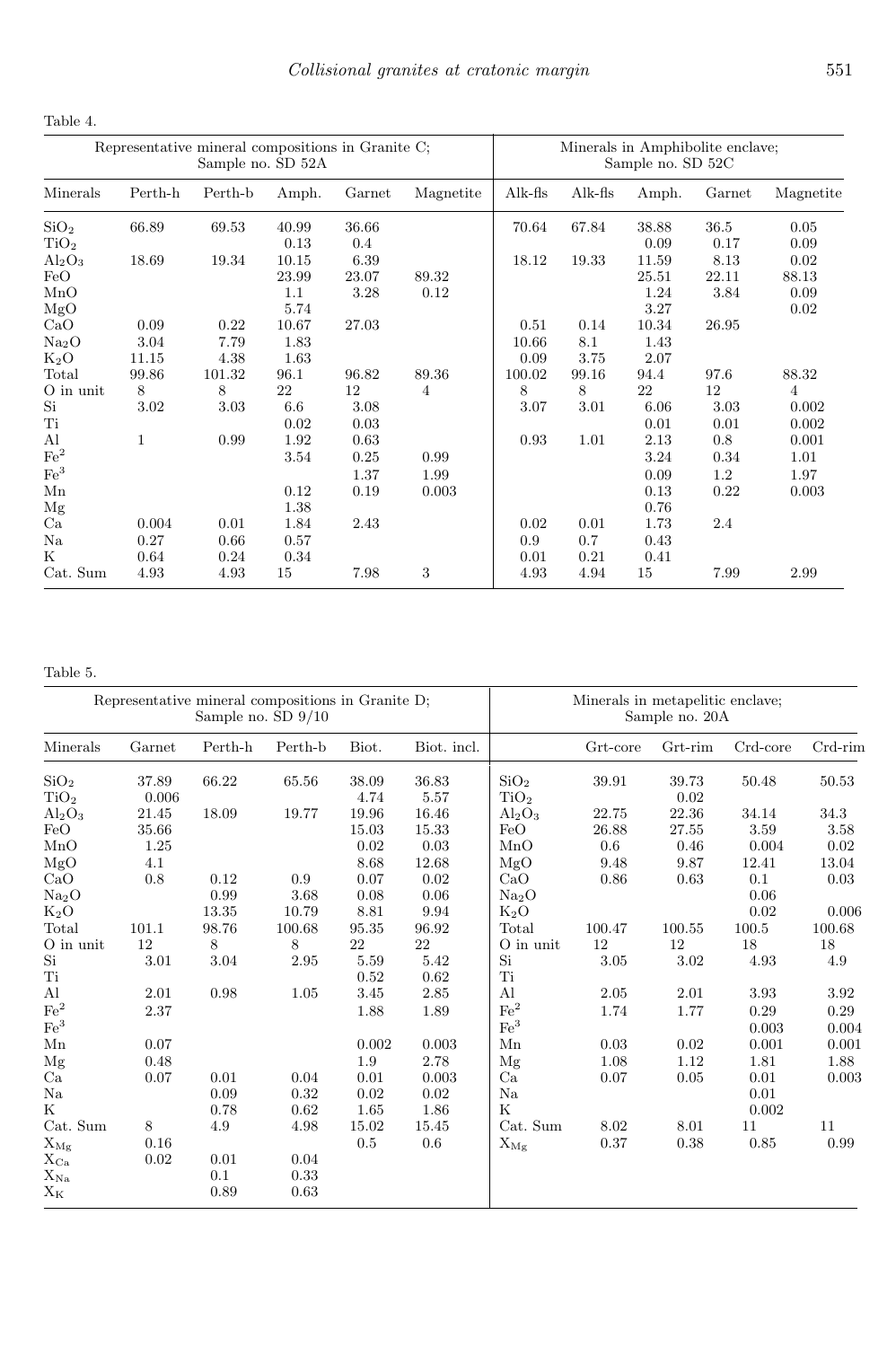Table 4.

|                                           | Representative mineral compositions in Granite C; | Sample no. SD 52A            |                                    |                              |                       | Minerals in Amphibolite enclave;<br>Sample no. SD 52C |                             |                                    |                            |                                |
|-------------------------------------------|---------------------------------------------------|------------------------------|------------------------------------|------------------------------|-----------------------|-------------------------------------------------------|-----------------------------|------------------------------------|----------------------------|--------------------------------|
| Minerals                                  | Perth-h                                           | Perth-b                      | Amph.                              | Garnet                       | Magnetite             | $Alk-fls$                                             | $Alk-fls$                   | Amph.                              | Garnet                     | Magnetite                      |
| SiO <sub>2</sub><br>TiO <sub>2</sub>      | 66.89                                             | 69.53                        | 40.99<br>0.13                      | 36.66<br>0.4                 |                       | 70.64                                                 | 67.84                       | 38.88<br>0.09                      | 36.5<br>0.17               | 0.05<br>0.09                   |
| $Al_2O_3$<br>FeO<br>MnO<br>MgO            | 18.69                                             | 19.34                        | 10.15<br>23.99<br>1.1<br>5.74      | 6.39<br>23.07<br>3.28        | 89.32<br>0.12         | 18.12                                                 | 19.33                       | 11.59<br>25.51<br>1.24<br>3.27     | 8.13<br>22.11<br>3.84      | 0.02<br>88.13<br>0.09<br>0.02  |
| CaO<br>Na <sub>2</sub> O<br>$K_2O$        | 0.09<br>3.04<br>11.15                             | 0.22<br>7.79<br>4.38         | 10.67<br>1.83<br>1.63              | 27.03                        |                       | 0.51<br>10.66<br>0.09                                 | 0.14<br>8.1<br>3.75         | 10.34<br>1.43<br>2.07              | 26.95                      |                                |
| Total<br>O in unit<br>Si<br>$\rm Ti$      | 99.86<br>8<br>$3.02\,$                            | 101.32<br>8<br>3.03          | 96.1<br>22<br>6.6<br>0.02          | 96.82<br>12<br>3.08<br>0.03  | 89.36<br>4            | 100.02<br>8<br>3.07                                   | 99.16<br>8<br>3.01          | 94.4<br>22<br>6.06<br>0.01         | 97.6<br>12<br>3.03<br>0.01 | 88.32<br>4<br>0.002<br>0.002   |
| Al<br>$\rm Fe^2$<br>$\mathrm{Fe}^3$<br>Mn | $\mathbf{1}$                                      | 0.99                         | 1.92<br>3.54<br>0.12               | 0.63<br>0.25<br>1.37<br>0.19 | 0.99<br>1.99<br>0.003 | 0.93                                                  | 1.01                        | 2.13<br>3.24<br>0.09<br>0.13       | 0.8<br>0.34<br>1.2<br>0.22 | 0.001<br>1.01<br>1.97<br>0.003 |
| Mg<br>Ca<br>Na<br>K<br>Cat. Sum           | 0.004<br>0.27<br>0.64<br>4.93                     | 0.01<br>0.66<br>0.24<br>4.93 | 1.38<br>1.84<br>0.57<br>0.34<br>15 | 2.43<br>7.98                 | 3                     | 0.02<br>0.9<br>0.01<br>4.93                           | 0.01<br>0.7<br>0.21<br>4.94 | 0.76<br>1.73<br>0.43<br>0.41<br>15 | 2.4<br>7.99                | 2.99                           |

## Table 5.

|                             | Representative mineral compositions in Granite D; | Sample no. $SD\ 9/10$ |         |        |             |                             | Minerals in metapelitic enclave;<br>Sample no. 20A |         |          |            |  |
|-----------------------------|---------------------------------------------------|-----------------------|---------|--------|-------------|-----------------------------|----------------------------------------------------|---------|----------|------------|--|
| Minerals                    | Garnet                                            | Perth-h               | Perth-b | Biot.  | Biot. incl. |                             | Grt-core                                           | Grt-rim | Crd-core | Crd-rim    |  |
| SiO <sub>2</sub>            | 37.89                                             | 66.22                 | 65.56   | 38.09  | 36.83       | SiO <sub>2</sub>            | 39.91                                              | 39.73   | 50.48    | 50.53      |  |
| TiO <sub>2</sub>            | 0.006                                             |                       |         | 4.74   | 5.57        | TiO <sub>2</sub>            |                                                    | 0.02    |          |            |  |
| $Al_2O_3$                   | 21.45                                             | 18.09                 | 19.77   | 19.96  | 16.46       | $Al_2O_3$                   | 22.75                                              | 22.36   | 34.14    | 34.3       |  |
| FeO                         | 35.66                                             |                       |         | 15.03  | 15.33       | FeO                         | 26.88                                              | 27.55   | 3.59     | 3.58       |  |
| MnO                         | 1.25                                              |                       |         | 0.02   | 0.03        | MnO                         | 0.6                                                | 0.46    | 0.004    | 0.02       |  |
| MgO                         | 4.1                                               |                       |         | 8.68   | 12.68       | MgO                         | 9.48                                               | 9.87    | 12.41    | 13.04      |  |
| CaO                         | 0.8                                               | 0.12                  | 0.9     | 0.07   | 0.02        | CaO                         | 0.86                                               | 0.63    | 0.1      | 0.03       |  |
| Na <sub>2</sub> O           |                                                   | $\rm 0.99$            | 3.68    | 0.08   | 0.06        | Na <sub>2</sub> O           |                                                    |         | 0.06     |            |  |
| $K_2O$                      |                                                   | 13.35                 | 10.79   | 8.81   | 9.94        | $K_2O$                      |                                                    |         | 0.02     | 0.006      |  |
| Total                       | 101.1                                             | 98.76                 | 100.68  | 95.35  | 96.92       | Total                       | 100.47                                             | 100.55  | 100.5    | 100.68     |  |
| $\mathrm{O}\xspace$ in unit | 12                                                | 8                     | 8       | $22\,$ | 22          | $\mathrm{O}\xspace$ in unit | $12\,$                                             | $12\,$  | $18\,$   | $18\,$     |  |
| $\mathrm{Si}$               | 3.01                                              | $3.04\,$              | 2.95    | 5.59   | 5.42        | Si                          | 3.05                                               | 3.02    | 4.93     | $4.9\,$    |  |
| Ti                          |                                                   |                       |         | 0.52   | 0.62        | Ti                          |                                                    |         |          |            |  |
| Al                          | 2.01                                              | 0.98                  | 1.05    | 3.45   | $2.85\,$    | Al                          | 2.05                                               | 2.01    | 3.93     | 3.92       |  |
| $\rm Fe^2$                  | 2.37                                              |                       |         | 1.88   | $1.89\,$    | $\mathrm{Fe}^2$             | 1.74                                               | 1.77    | 0.29     | 0.29       |  |
| $\mathrm{Fe}^3$             |                                                   |                       |         |        |             | $\mathrm{Fe}^3$             |                                                    |         | 0.003    | 0.004      |  |
| ${\rm Mn}$                  | 0.07                                              |                       |         | 0.002  | 0.003       | Mn                          | 0.03                                               | 0.02    | 0.001    | 0.001      |  |
| Mg                          | 0.48                                              |                       |         | 1.9    | 2.78        | Mg                          | 1.08                                               | 1.12    | 1.81     | 1.88       |  |
| Ca                          | 0.07                                              | 0.01                  | 0.04    | 0.01   | 0.003       | Ca                          | 0.07                                               | 0.05    | $0.01\,$ | 0.003      |  |
| $_{\rm Na}$                 |                                                   | 0.09                  | 0.32    | 0.02   | 0.02        | Na                          |                                                    |         | 0.01     |            |  |
| Κ                           |                                                   | 0.78                  | 0.62    | 1.65   | 1.86        | K                           |                                                    |         | 0.002    |            |  |
| Cat. Sum                    | 8                                                 | 4.9                   | 4.98    | 15.02  | 15.45       | Cat. Sum                    | 8.02                                               | 8.01    | 11       | 11         |  |
| $X_{Mg}$                    | 0.16                                              |                       |         | 0.5    | 0.6         | $\mathbf{X}_{\mathbf{Mg}}$  | $0.37\,$                                           | 0.38    | $0.85\,$ | $\rm 0.99$ |  |
| $\rm X_{Ca}$                | 0.02                                              | 0.01                  | 0.04    |        |             |                             |                                                    |         |          |            |  |
| $\rm X_{\rm Na}$            |                                                   | 0.1                   | 0.33    |        |             |                             |                                                    |         |          |            |  |
| $\mathbf{X}_\mathbf{K}$     |                                                   | 0.89                  | 0.63    |        |             |                             |                                                    |         |          |            |  |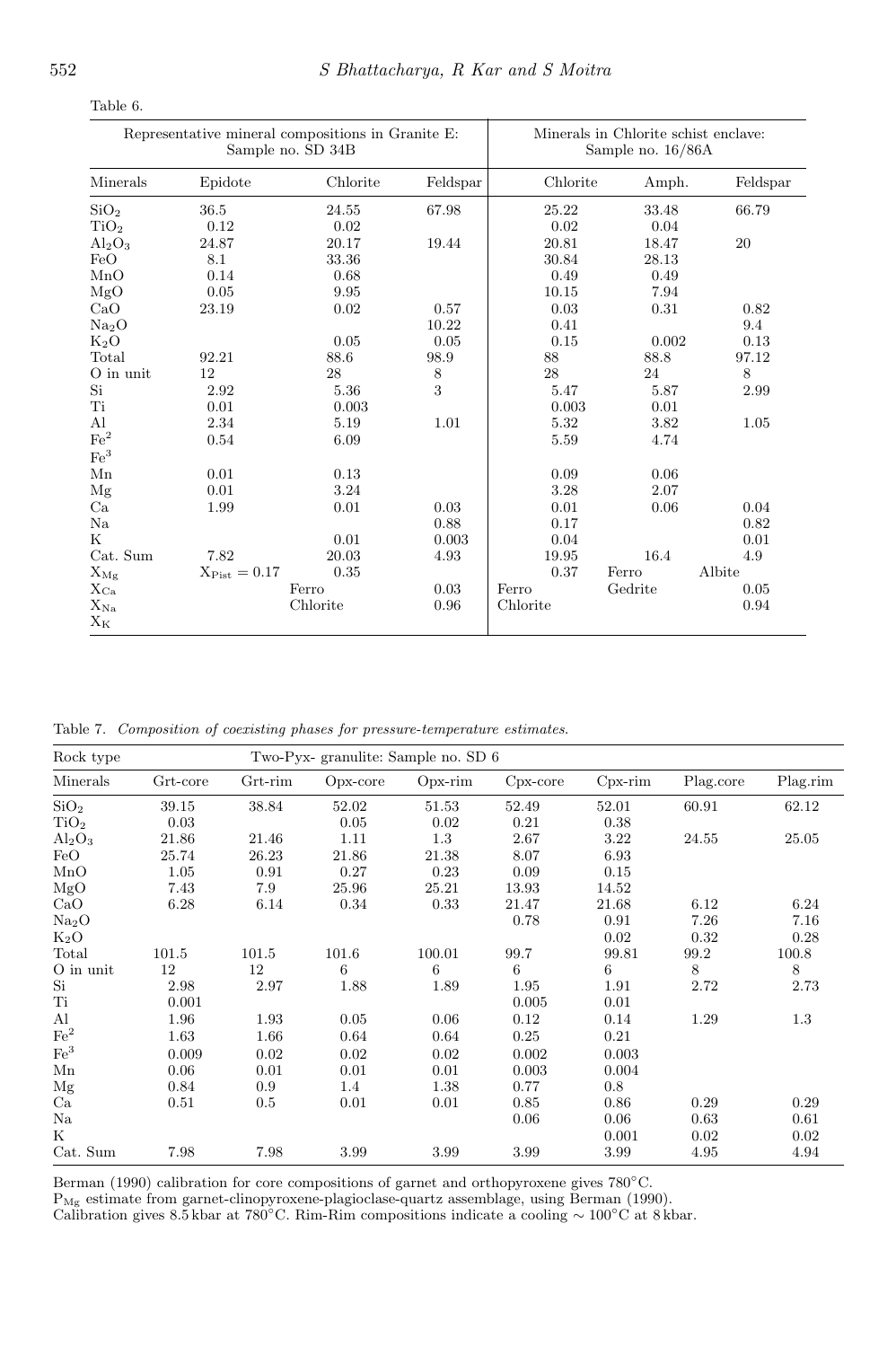|                             | Representative mineral compositions in Granite E: | Sample no. SD 34B |          | Minerals in Chlorite schist enclave:<br>Sample no. 16/86A |         |          |  |
|-----------------------------|---------------------------------------------------|-------------------|----------|-----------------------------------------------------------|---------|----------|--|
| Minerals                    | Epidote                                           | Chlorite          | Feldspar | Chlorite                                                  | Amph.   | Feldspar |  |
| SiO <sub>2</sub>            | 36.5                                              | 24.55             | 67.98    | 25.22                                                     | 33.48   | 66.79    |  |
| TiO <sub>2</sub>            | 0.12                                              | 0.02              |          | 0.02                                                      | 0.04    |          |  |
| $Al_2O_3$                   | 24.87                                             | 20.17             | 19.44    | 20.81                                                     | 18.47   | 20       |  |
| FeO                         | 8.1                                               | 33.36             |          | 30.84                                                     | 28.13   |          |  |
| MnO                         | 0.14                                              | 0.68              |          | 0.49                                                      | 0.49    |          |  |
| MgO                         | 0.05                                              | 9.95              |          | 10.15                                                     | 7.94    |          |  |
| CaO                         | 23.19                                             | 0.02              | 0.57     | 0.03                                                      | 0.31    | 0.82     |  |
| Na <sub>2</sub> O           |                                                   |                   | 10.22    | 0.41                                                      |         | 9.4      |  |
| $K_2O$                      |                                                   | 0.05              | 0.05     | 0.15                                                      | 0.002   | 0.13     |  |
| Total                       | 92.21                                             | 88.6              | 98.9     | 88                                                        | 88.8    | 97.12    |  |
| $\mathrm{O}\xspace$ in unit | 12                                                | 28                | 8        | 28                                                        | 24      | 8        |  |
| Si                          | 2.92                                              | 5.36              | 3        | 5.47                                                      | 5.87    | 2.99     |  |
| Ti                          | 0.01                                              | 0.003             |          | 0.003                                                     | 0.01    |          |  |
| Al                          | 2.34                                              | 5.19              | 1.01     | 5.32                                                      | 3.82    | 1.05     |  |
| $\mathrm{Fe}^2$             | 0.54                                              | 6.09              |          | 5.59                                                      | 4.74    |          |  |
| Fe <sup>3</sup>             |                                                   |                   |          |                                                           |         |          |  |
| Mn                          | 0.01                                              | 0.13              |          | 0.09                                                      | 0.06    |          |  |
| Mg                          | 0.01                                              | 3.24              |          | 3.28                                                      | 2.07    |          |  |
| Ca                          | 1.99                                              | 0.01              | 0.03     | 0.01                                                      | 0.06    | 0.04     |  |
| $_{\rm Na}$                 |                                                   |                   | 0.88     | 0.17                                                      |         | 0.82     |  |
| $_{\rm K}$                  |                                                   | 0.01              | 0.003    | 0.04                                                      |         | 0.01     |  |
| Cat. Sum                    | 7.82                                              | 20.03             | 4.93     | 19.95                                                     | 16.4    | 4.9      |  |
| $X_{Mg}$                    | $X_{\text{Dist}} = 0.17$                          | 0.35              |          | 0.37                                                      | Ferro   | Albite   |  |
| $X_{\rm Ca}$                |                                                   | Ferro             | 0.03     | Ferro                                                     | Gedrite | 0.05     |  |
| $\rm X_{\rm Na}$            |                                                   | Chlorite          | 0.96     | Chlorite                                                  |         | 0.94     |  |

Table 6.

 $X_K$ 

Table 7. Composition of coexisting phases for pressure-temperature estimates.

| Rock type         |          |         | Two-Pyx-granulite: Sample no. SD 6 |            |            |            |           |          |  |  |
|-------------------|----------|---------|------------------------------------|------------|------------|------------|-----------|----------|--|--|
| Minerals          | Grt-core | Grt-rim | $Opx-core$                         | $Opx$ -rim | $Cpx-core$ | $Cpx$ -rim | Plag.core | Plag.rim |  |  |
| SiO <sub>2</sub>  | 39.15    | 38.84   | 52.02                              | 51.53      | 52.49      | 52.01      | 60.91     | 62.12    |  |  |
| TiO <sub>2</sub>  | 0.03     |         | 0.05                               | 0.02       | 0.21       | 0.38       |           |          |  |  |
| $Al_2O_3$         | 21.86    | 21.46   | 1.11                               | 1.3        | 2.67       | 3.22       | 24.55     | 25.05    |  |  |
| FeO               | 25.74    | 26.23   | 21.86                              | 21.38      | 8.07       | 6.93       |           |          |  |  |
| MnO               | 1.05     | 0.91    | 0.27                               | 0.23       | 0.09       | 0.15       |           |          |  |  |
| MgO               | 7.43     | 7.9     | 25.96                              | 25.21      | 13.93      | 14.52      |           |          |  |  |
| CaO               | 6.28     | 6.14    | 0.34                               | 0.33       | 21.47      | 21.68      | 6.12      | 6.24     |  |  |
| Na <sub>2</sub> O |          |         |                                    |            | 0.78       | 0.91       | 7.26      | 7.16     |  |  |
| $K_2O$            |          |         |                                    |            |            | 0.02       | 0.32      | 0.28     |  |  |
| Total             | 101.5    | 101.5   | 101.6                              | 100.01     | 99.7       | 99.81      | 99.2      | 100.8    |  |  |
| O in unit         | 12       | 12      | 6                                  | 6          | 6          | 6          | 8         | 8        |  |  |
| Si                | 2.98     | 2.97    | 1.88                               | 1.89       | 1.95       | 1.91       | 2.72      | 2.73     |  |  |
| $\rm Ti$          | 0.001    |         |                                    |            | 0.005      | 0.01       |           |          |  |  |
| $\rm Al$          | 1.96     | 1.93    | 0.05                               | 0.06       | 0.12       | 0.14       | 1.29      | $1.3\,$  |  |  |
| $\rm Fe^2$        | 1.63     | 1.66    | 0.64                               | 0.64       | 0.25       | 0.21       |           |          |  |  |
| $\mathrm{Fe}^3$   | 0.009    | 0.02    | 0.02                               | 0.02       | 0.002      | 0.003      |           |          |  |  |
| Mn                | 0.06     | 0.01    | 0.01                               | 0.01       | 0.003      | 0.004      |           |          |  |  |
| Mg                | 0.84     | 0.9     | 1.4                                | 1.38       | 0.77       | 0.8        |           |          |  |  |
| Ca                | 0.51     | $0.5\,$ | 0.01                               | 0.01       | 0.85       | 0.86       | 0.29      | 0.29     |  |  |
| Na                |          |         |                                    |            | 0.06       | 0.06       | 0.63      | 0.61     |  |  |
| Κ                 |          |         |                                    |            |            | 0.001      | 0.02      | 0.02     |  |  |
| Cat. Sum          | 7.98     | 7.98    | 3.99                               | 3.99       | 3.99       | 3.99       | 4.95      | 4.94     |  |  |

Berman (1990) calibration for core compositions of garnet and orthopyroxene gives 780°C.

 $\mathrm{P}_\mathrm{Mg}$  estimate from garnet-clinopyroxene-plagioclase-quartz assemblage, using Berman (1990).

Calibration gives 8.5 kbar at 780◦C. Rim-Rim compositions indicate a cooling ∼ 100◦C at 8 kbar.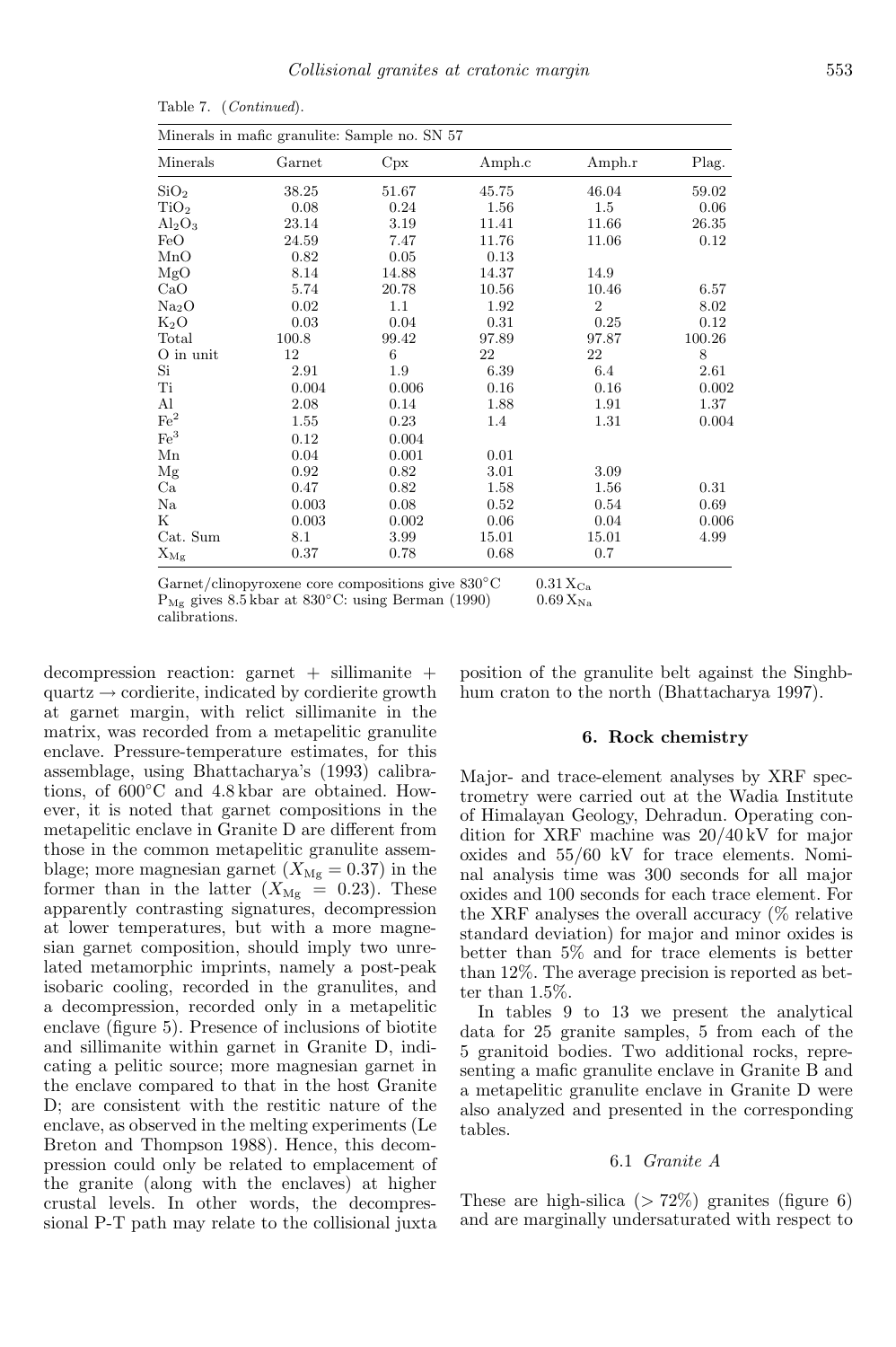|                  | Minerals in mafic granulite: Sample no. SN 57 |       |        |                |        |  |  |  |  |  |  |
|------------------|-----------------------------------------------|-------|--------|----------------|--------|--|--|--|--|--|--|
| Minerals         | Garnet                                        | Cpx   | Amph.c | Amph.r         | Plag.  |  |  |  |  |  |  |
| SiO <sub>2</sub> | 38.25                                         | 51.67 | 45.75  | 46.04          | 59.02  |  |  |  |  |  |  |
| TiO <sub>2</sub> | 0.08                                          | 0.24  | 1.56   | 1.5            | 0.06   |  |  |  |  |  |  |
| $\rm Al_2O_3$    | 23.14                                         | 3.19  | 11.41  | 11.66          | 26.35  |  |  |  |  |  |  |
| FeO              | 24.59                                         | 7.47  | 11.76  | 11.06          | 0.12   |  |  |  |  |  |  |
| MnO              | 0.82                                          | 0.05  | 0.13   |                |        |  |  |  |  |  |  |
| MgO              | 8.14                                          | 14.88 | 14.37  | 14.9           |        |  |  |  |  |  |  |
| $\rm CaO$        | 5.74                                          | 20.78 | 10.56  | 10.46          | 6.57   |  |  |  |  |  |  |
| $\rm Na_2O$      | 0.02                                          | 1.1   | 1.92   | $\overline{2}$ | 8.02   |  |  |  |  |  |  |
| $\rm K_2O$       | 0.03                                          | 0.04  | 0.31   | 0.25           | 0.12   |  |  |  |  |  |  |
| Total            | 100.8                                         | 99.42 | 97.89  | 97.87          | 100.26 |  |  |  |  |  |  |
| O in unit        | 12                                            | 6     | 22     | 22             | 8      |  |  |  |  |  |  |
| Si               | 2.91                                          | 1.9   | 6.39   | 6.4            | 2.61   |  |  |  |  |  |  |
| Ti               | 0.004                                         | 0.006 | 0.16   | 0.16           | 0.002  |  |  |  |  |  |  |
| Al               | 2.08                                          | 0.14  | 1.88   | 1.91           | 1.37   |  |  |  |  |  |  |
| $\mathrm{Fe}^2$  | 1.55                                          | 0.23  | 1.4    | 1.31           | 0.004  |  |  |  |  |  |  |
| $\mathrm{Fe}^3$  | 0.12                                          | 0.004 |        |                |        |  |  |  |  |  |  |
| Mn               | 0.04                                          | 0.001 | 0.01   |                |        |  |  |  |  |  |  |
| Mg               | 0.92                                          | 0.82  | 3.01   | 3.09           |        |  |  |  |  |  |  |
| $\rm Ca$         | 0.47                                          | 0.82  | 1.58   | 1.56           | 0.31   |  |  |  |  |  |  |
| Na               | 0.003                                         | 0.08  | 0.52   | 0.54           | 0.69   |  |  |  |  |  |  |
| Κ                | 0.003                                         | 0.002 | 0.06   | 0.04           | 0.006  |  |  |  |  |  |  |
| Cat. Sum         | 8.1                                           | 3.99  | 15.01  | 15.01          | 4.99   |  |  |  |  |  |  |
| $\rm X_{\rm Mg}$ | 0.37                                          | 0.78  | 0.68   | 0.7            |        |  |  |  |  |  |  |

Table 7. (Continued).

Garnet/clinopyroxene core compositions give  $830^{\circ}$ C 0.31 X<sub>Ca</sub>  $P_{\text{Mg}}$  gives 8.5 kbar at 830°C: using Berman (1990) 0.69  $X_{\text{Na}}$ calibrations.

decompression reaction: garnet  $+$  sillimanite  $+$  $quartz \rightarrow\text{cordinate}, \text{indicated by coordinate}$ at garnet margin, with relict sillimanite in the matrix, was recorded from a metapelitic granulite enclave. Pressure-temperature estimates, for this assemblage, using Bhattacharya's (1993) calibrations, of 600◦C and 4.8 kbar are obtained. However, it is noted that garnet compositions in the metapelitic enclave in Granite D are different from those in the common metapelitic granulite assemblage; more magnesian garnet  $(X_{\text{Mg}} = 0.37)$  in the former than in the latter  $(X_{\text{Mg}} = 0.23)$ . These apparently contrasting signatures, decompression at lower temperatures, but with a more magnesian garnet composition, should imply two unrelated metamorphic imprints, namely a post-peak isobaric cooling, recorded in the granulites, and a decompression, recorded only in a metapelitic enclave (figure 5). Presence of inclusions of biotite and sillimanite within garnet in Granite D, indicating a pelitic source; more magnesian garnet in the enclave compared to that in the host Granite D; are consistent with the restitic nature of the enclave, as observed in the melting experiments (Le Breton and Thompson 1988). Hence, this decompression could only be related to emplacement of the granite (along with the enclaves) at higher crustal levels. In other words, the decompressional P-T path may relate to the collisional juxta position of the granulite belt against the Singhbhum craton to the north (Bhattacharya 1997).

#### 6. Rock chemistry

Major- and trace-element analyses by XRF spectrometry were carried out at the Wadia Institute of Himalayan Geology, Dehradun. Operating condition for XRF machine was 20/40 kV for major oxides and 55/60 kV for trace elements. Nominal analysis time was 300 seconds for all major oxides and 100 seconds for each trace element. For the XRF analyses the overall accuracy (% relative standard deviation) for major and minor oxides is better than 5% and for trace elements is better than 12%. The average precision is reported as better than 1.5%.

In tables 9 to 13 we present the analytical data for 25 granite samples, 5 from each of the 5 granitoid bodies. Two additional rocks, representing a mafic granulite enclave in Granite B and a metapelitic granulite enclave in Granite D were also analyzed and presented in the corresponding tables.

### 6.1 *Granite A*

These are high-silica  $(> 72\%)$  granites (figure 6) and are marginally undersaturated with respect to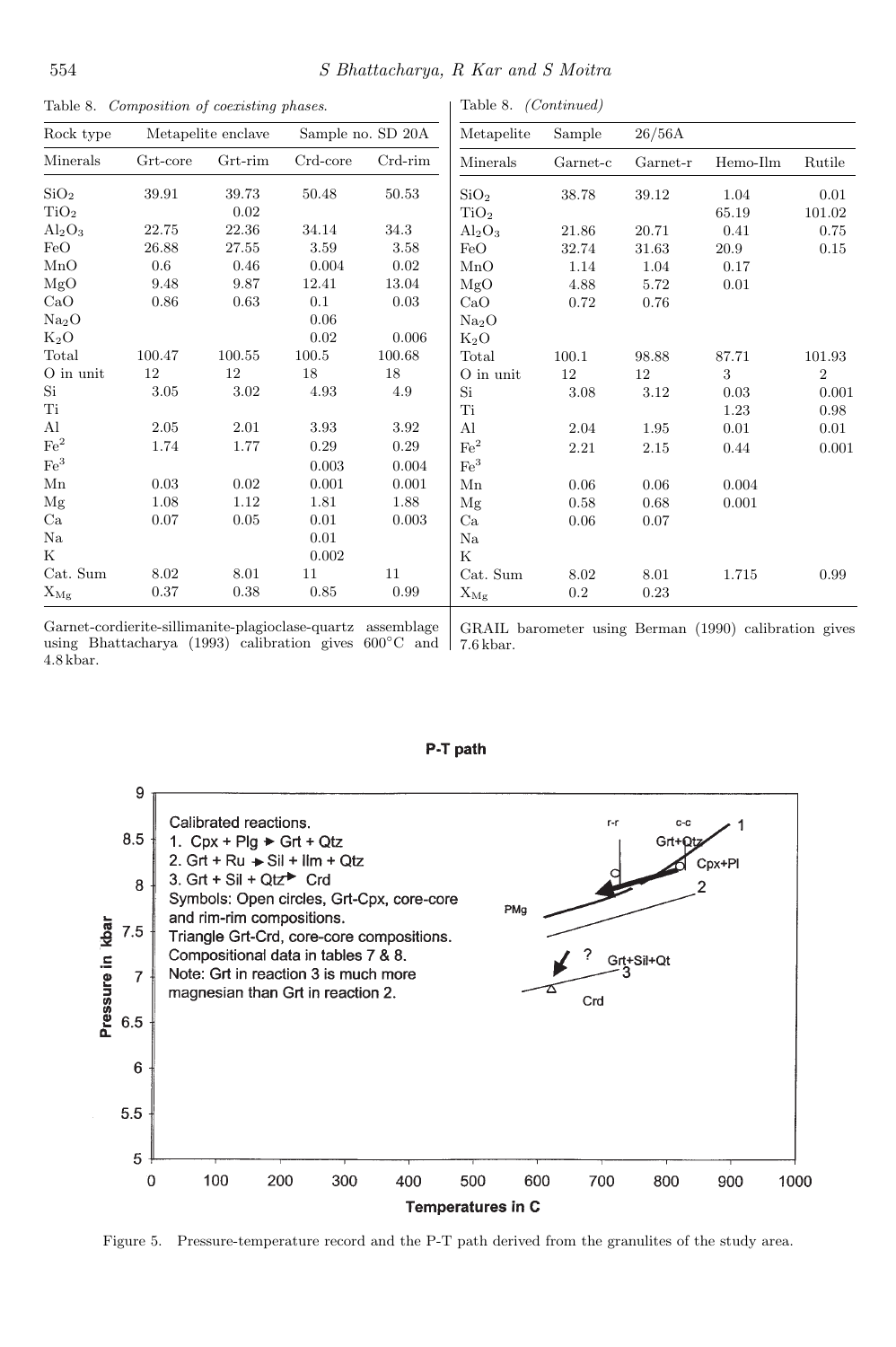| Table 8. Composition of coexisting phases. |          |                    |            |                   | Table 8. <i>(Continued)</i> |           |           |          |                |
|--------------------------------------------|----------|--------------------|------------|-------------------|-----------------------------|-----------|-----------|----------|----------------|
| Rock type                                  |          | Metapelite enclave |            | Sample no. SD 20A | Metapelite                  | Sample    | 26/56A    |          |                |
| Minerals                                   | Grt-core | $Grt$ -rim         | $Crd-core$ | $Crd$ -rim        | Minerals                    | Garnet-c  | Garnet-r  | Hemo-Ilm | Rutile         |
| SiO <sub>2</sub>                           | 39.91    | 39.73              | 50.48      | 50.53             | SiO <sub>2</sub>            | 38.78     | $39.12\,$ | 1.04     | 0.01           |
| TiO <sub>2</sub>                           |          | 0.02               |            |                   | TiO <sub>2</sub>            |           |           | 65.19    | 101.02         |
| $Al_2O_3$                                  | 22.75    | 22.36              | 34.14      | 34.3              | $Al_2O_3$                   | 21.86     | 20.71     | 0.41     | 0.75           |
| FeO                                        | 26.88    | 27.55              | 3.59       | 3.58              | FeO                         | 32.74     | 31.63     | 20.9     | 0.15           |
| MnO                                        | 0.6      | 0.46               | 0.004      | 0.02              | MnO                         | 1.14      | 1.04      | 0.17     |                |
| MgO                                        | 9.48     | 9.87               | 12.41      | 13.04             | MgO                         | 4.88      | 5.72      | 0.01     |                |
| CaO                                        | 0.86     | 0.63               | 0.1        | 0.03              | CaO                         | 0.72      | 0.76      |          |                |
| Na <sub>2</sub> O                          |          |                    | $0.06\,$   |                   | $\rm Na_2O$                 |           |           |          |                |
| $K_2O$                                     |          |                    | 0.02       | 0.006             | $K_2O$                      |           |           |          |                |
| Total                                      | 100.47   | 100.55             | 100.5      | 100.68            | Total                       | 100.1     | 98.88     | 87.71    | 101.93         |
| $\mathrm{O}\xspace$ in unit                | 12       | 12                 | 18         | 18                | $\mathrm{O}\xspace$ in unit | $12\,$    | 12        | 3        | $\overline{2}$ |
| Si                                         | 3.05     | 3.02               | 4.93       | 4.9               | Si                          | 3.08      | 3.12      | 0.03     | 0.001          |
| $\rm Ti$                                   |          |                    |            |                   | Ti                          |           |           | 1.23     | 0.98           |
| ${\rm Al}$                                 | 2.05     | 2.01               | 3.93       | 3.92              | Al                          | 2.04      | 1.95      | 0.01     | 0.01           |
| $\rm Fe^2$                                 | 1.74     | 1.77               | 0.29       | 0.29              | $\rm Fe^2$                  | 2.21      | 2.15      | 0.44     | 0.001          |
| $\mathrm{Fe}^3$                            |          |                    | 0.003      | 0.004             | Fe <sup>3</sup>             |           |           |          |                |
| Mn                                         | 0.03     | 0.02               | 0.001      | 0.001             | Mn                          | 0.06      | 0.06      | 0.004    |                |
| Mg                                         | 1.08     | 1.12               | 1.81       | 1.88              | Mg                          | 0.58      | 0.68      | 0.001    |                |
| Ca                                         | 0.07     | 0.05               | 0.01       | 0.003             | Ca                          | 0.06      | 0.07      |          |                |
| $_{\rm Na}$                                |          |                    | 0.01       |                   | Na                          |           |           |          |                |
| Κ                                          |          |                    | 0.002      |                   | $\rm K$                     |           |           |          |                |
| Cat. Sum                                   | 8.02     | 8.01               | 11         | 11                | Cat. Sum                    | 8.02      | 8.01      | 1.715    | 0.99           |
| $\mathbf{X}_{\mathbf{Mg}}$                 | 0.37     | 0.38               | 0.85       | 0.99              | $\mathbf{X}_{\mathbf{Mg}}$  | $\rm 0.2$ | $0.23\,$  |          |                |
|                                            |          |                    |            |                   |                             |           |           |          |                |

Table 8. Composition of coexisting phases.

Garnet-cordierite-sillimanite-plagioclase-quartz assemblage using Bhattacharya (1993) calibration gives  $600^{\circ}$ C and  $7.6$  kbar. 4.8 kbar.

GRAIL barometer using Berman (1990) calibration gives



#### P-T path

Figure 5. Pressure-temperature record and the P-T path derived from the granulites of the study area.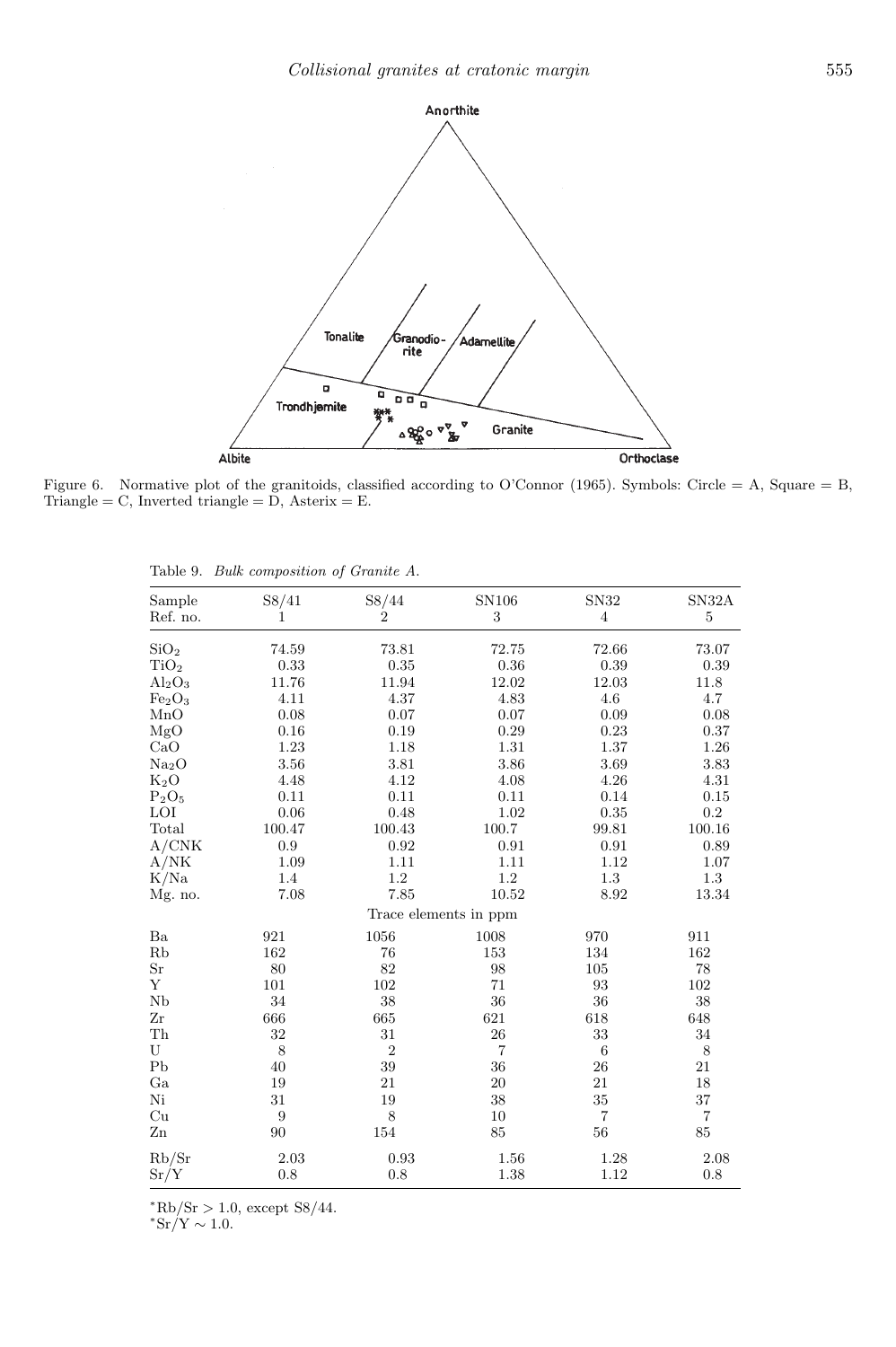

Figure 6. Normative plot of the granitoids, classified according to O'Connor (1965). Symbols: Circle = A, Square = B, Triangle =  $C$ , Inverted triangle =  $D$ , Asterix =  $E$ .

| Sample<br>Ref. no.             | S8/41<br>$\mathbf{1}$ | S8/44<br>$\overline{2}$ | SN106<br>$\boldsymbol{3}$ | SN32<br>$\overline{4}$  | SN32A<br>$\bf 5$ |
|--------------------------------|-----------------------|-------------------------|---------------------------|-------------------------|------------------|
|                                |                       |                         |                           |                         |                  |
| SiO <sub>2</sub>               | 74.59                 | 73.81                   | 72.75                     | 72.66                   | 73.07            |
| TiO <sub>2</sub>               | 0.33                  | 0.35                    | $0.36\,$                  | 0.39                    | 0.39             |
| $Al_2O_3$                      | 11.76                 | 11.94                   | 12.02                     | 12.03                   | 11.8             |
| Fe <sub>2</sub> O <sub>3</sub> | 4.11                  | 4.37                    | 4.83                      | 4.6                     | 4.7              |
| MnO                            | 0.08                  | 0.07                    | 0.07                      | 0.09                    | 0.08             |
| MgO                            | 0.16                  | 0.19                    | 0.29                      | 0.23                    | 0.37             |
| CaO                            | 1.23                  | 1.18                    | 1.31                      | 1.37                    | 1.26             |
| Na <sub>2</sub> O              | $3.56\,$              | 3.81                    | 3.86                      | 3.69                    | 3.83             |
| $K_2O$                         | 4.48                  | 4.12                    | 4.08                      | 4.26                    | 4.31             |
| $P_2O_5$                       | 0.11                  | 0.11                    | 0.11                      | 0.14                    | 0.15             |
| LOI                            | 0.06                  | 0.48                    | 1.02                      | 0.35                    | $\rm 0.2$        |
| Total                          | 100.47                | 100.43                  | 100.7                     | 99.81                   | 100.16           |
| A/CNK                          | 0.9                   | 0.92                    | 0.91                      | 0.91                    | 0.89             |
| A/NK                           | 1.09                  | 1.11                    | 1.11                      | 1.12                    | 1.07             |
| K/Na                           | 1.4                   | $1.2\,$                 | 1.2                       | $1.3\,$                 | 1.3              |
| Mg. no.                        | 7.08                  | 7.85                    | 10.52                     | 8.92                    | 13.34            |
|                                |                       | Trace elements in ppm   |                           |                         |                  |
| $\rm Ba$                       | 921                   | 1056                    | 1008                      | 970                     | 911              |
| Rb                             | 162                   | 76                      | 153                       | 134                     | 162              |
| $\rm Sr$                       | 80                    | 82                      | 98                        | 105                     | 78               |
| Y                              | 101                   | 102                     | 71                        | 93                      | 102              |
| Nb                             | 34                    | 38                      | 36                        | 36                      | 38               |
| Zr                             | 666                   | 665                     | 621                       | 618                     | 648              |
| ${\rm Th}$                     | 32                    | 31                      | 26                        | 33                      | 34               |
| U                              | $\,8\,$               | $\boldsymbol{2}$        | $\overline{\mathbf{7}}$   | 6                       | 8                |
| P <sub>b</sub>                 | 40                    | 39                      | 36                        | 26                      | 21               |
| Ga                             | 19                    | 21                      | 20                        | 21                      | 18               |
| Ni                             | 31                    | 19                      | 38                        | 35                      | 37               |
| Cu                             | 9                     | 8                       | 10                        | $\overline{\mathbf{7}}$ | $\overline{7}$   |
| $_{\rm Zn}$                    | 90                    | 154                     | 85                        | 56                      | 85               |
| Rb/Sr                          | 2.03                  | 0.93                    | 1.56                      | 1.28                    | 2.08             |
| Sr/Y                           | 0.8                   | 0.8                     | 1.38                      | 1.12                    | 0.8              |

Table 9. Bulk composition of Granite A.

 $*Rb/Sr > 1.0$ , except S8/44.

 $*Sr/Y \sim 1.0$ .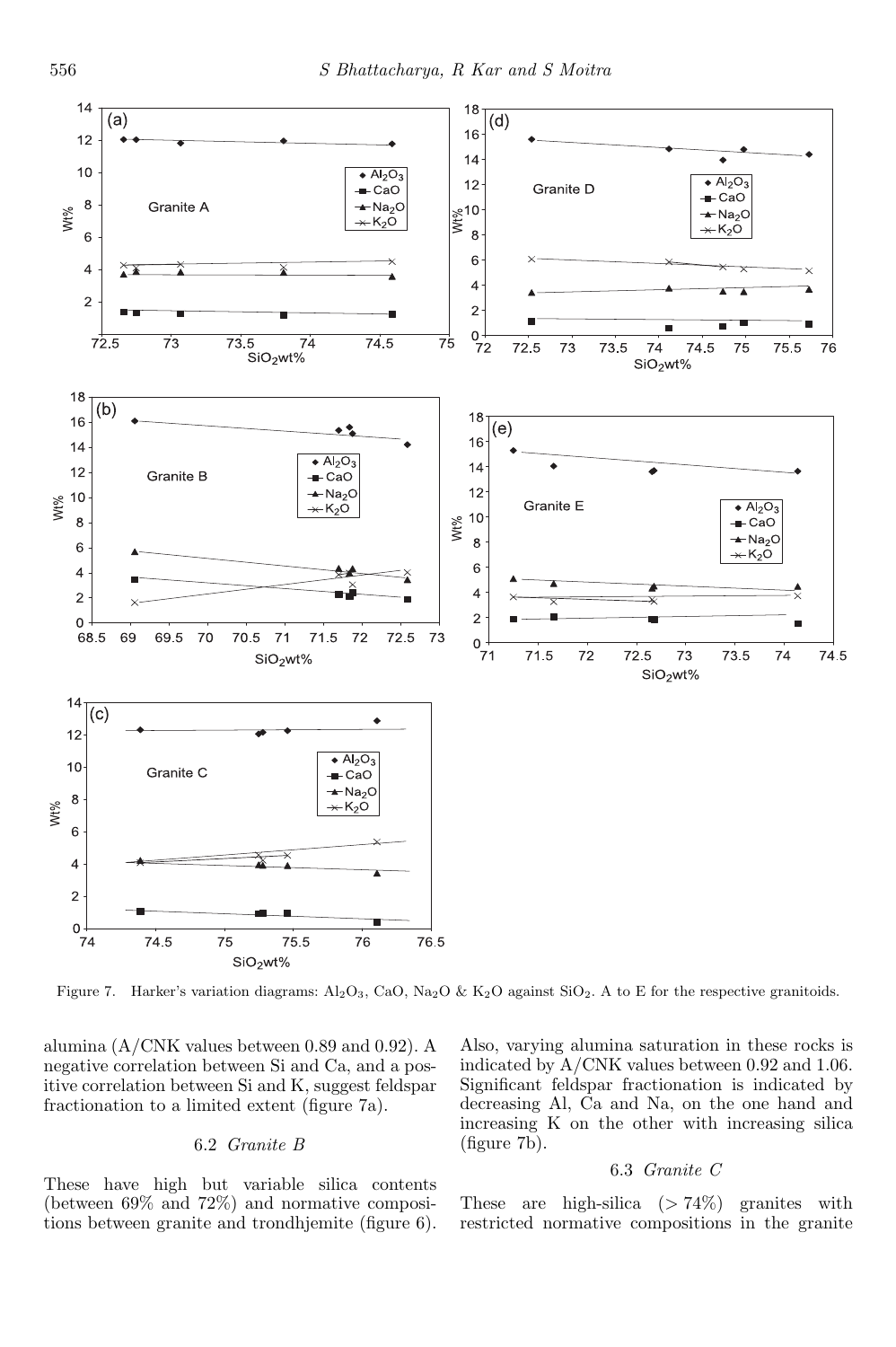

Figure 7. Harker's variation diagrams:  $Al_2O_3$ , CaO, Na<sub>2</sub>O & K<sub>2</sub>O against SiO<sub>2</sub>. A to E for the respective granitoids.

alumina (A/CNK values between 0.89 and 0.92). A negative correlation between Si and Ca, and a positive correlation between Si and K, suggest feldspar fractionation to a limited extent (figure 7a).

### 6.2 *Granite B*

These have high but variable silica contents (between 69% and 72%) and normative compositions between granite and trondhjemite (figure 6). Also, varying alumina saturation in these rocks is indicated by A/CNK values between 0.92 and 1.06. Significant feldspar fractionation is indicated by decreasing Al, Ca and Na, on the one hand and increasing K on the other with increasing silica (figure 7b).

#### 6.3 *Granite C*

These are high-silica  $(> 74\%)$  granites with restricted normative compositions in the granite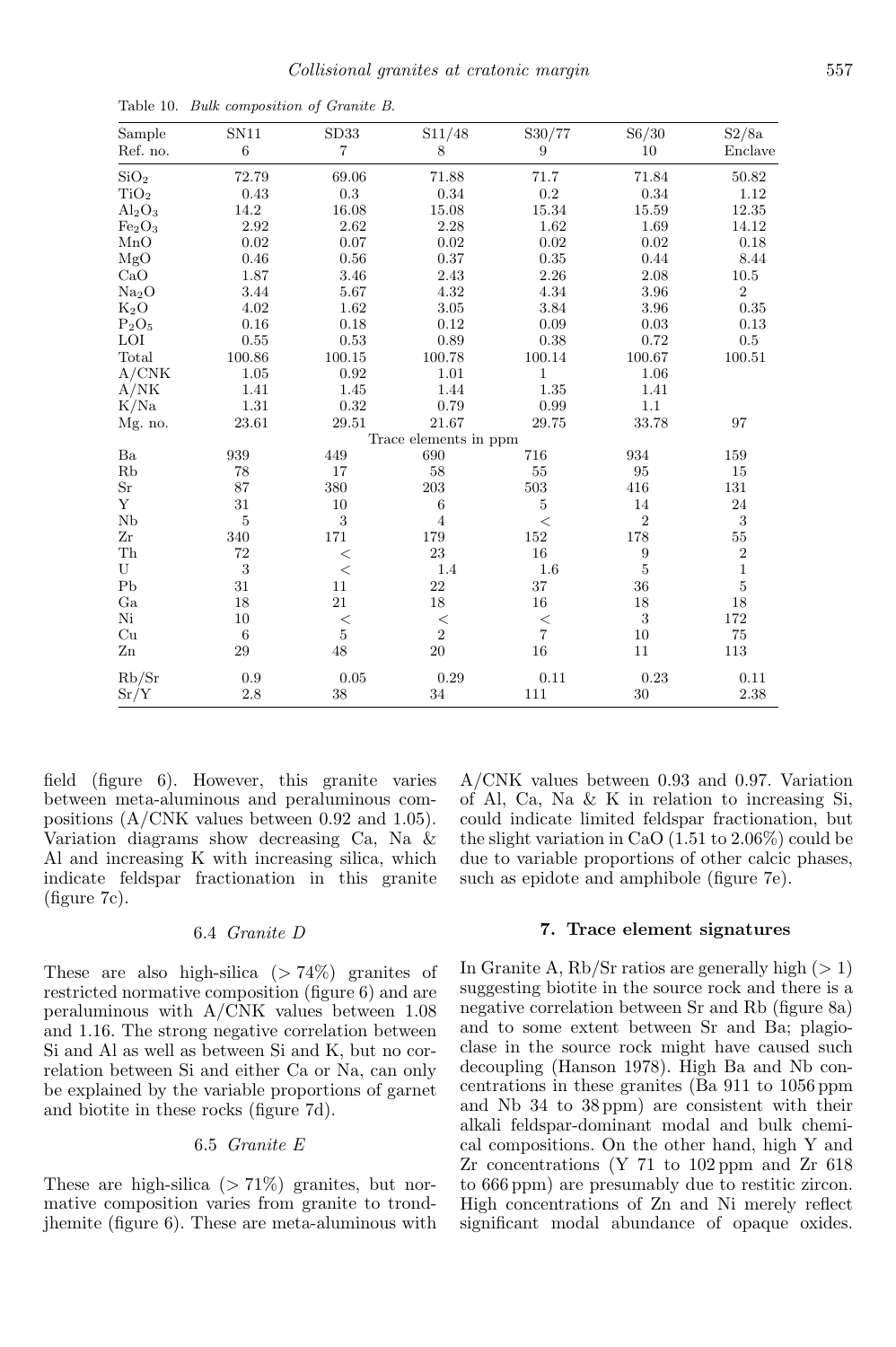| Sample                     | SN11           | SD33           | S11/48                | S30/77                  | S6/30            | S2/8a        |
|----------------------------|----------------|----------------|-----------------------|-------------------------|------------------|--------------|
| Ref. no.                   | $\,6$          | $\overline{7}$ | 8                     | 9                       | 10               | Enclave      |
| SiO <sub>2</sub>           | 72.79          | 69.06          | 71.88                 | 71.7                    | 71.84            | 50.82        |
| TiO <sub>2</sub>           | 0.43           | $\rm 0.3$      | 0.34                  | $\rm 0.2$               | 0.34             | 1.12         |
| $Al_2O_3$                  | 14.2           | 16.08          | 15.08                 | $15.34\,$               | $15.59\,$        | 12.35        |
| $\rm Fe_2O_3$              | 2.92           | 2.62           | 2.28                  | 1.62                    | 1.69             | 14.12        |
| MnO                        | 0.02           | 0.07           | 0.02                  | 0.02                    | 0.02             | 0.18         |
| MgO                        | 0.46           | 0.56           | 0.37                  | 0.35                    | 0.44             | 8.44         |
| CaO                        | 1.87           | 3.46           | 2.43                  | 2.26                    | 2.08             | $10.5\,$     |
| Na <sub>2</sub> O          | 3.44           | $5.67\,$       | 4.32                  | 4.34                    | 3.96             | $\sqrt{2}$   |
| $K_2O$                     | 4.02           | 1.62           | 3.05                  | 3.84                    | 3.96             | 0.35         |
| $\mathrm{P}_2\mathrm{O}_5$ | 0.16           | 0.18           | 0.12                  | 0.09                    | 0.03             | 0.13         |
| LOI                        | 0.55           | 0.53           | 0.89                  | 0.38                    | 0.72             | $0.5\,$      |
| Total                      | 100.86         | 100.15         | 100.78                | 100.14                  | 100.67           | 100.51       |
| A/CNK                      | 1.05           | 0.92           | 1.01                  | 1                       | 1.06             |              |
| A/NK                       | 1.41           | 1.45           | 1.44                  | 1.35                    | 1.41             |              |
| K/Na                       | $1.31\,$       | 0.32           | 0.79                  | 0.99                    | 1.1              |              |
| Mg. no.                    | 23.61          | 29.51          | 21.67                 | 29.75                   | 33.78            | 97           |
|                            |                |                | Trace elements in ppm |                         |                  |              |
| Ba                         | 939            | 449            | 690                   | 716                     | 934              | 159          |
| Rb                         | 78             | 17             | 58                    | 55                      | 95               | 15           |
| $\rm Sr$                   | 87             | 380            | $203\,$               | 503                     | 416              | 131          |
| Y                          | 31             | 10             | 6                     | $\bf 5$                 | 14               | 24           |
| Nb                         | $\overline{5}$ | $\sqrt{3}$     | $\overline{4}$        | $\,<\,$                 | $\overline{2}$   | $\sqrt{3}$   |
| Zr                         | 340            | 171            | 179                   | $152\,$                 | 178              | $55\,$       |
| Th                         | 72             | $\,<$          | 23                    | 16                      | $\boldsymbol{9}$ | $\sqrt{2}$   |
| U                          | 3              | $\,<$          | 1.4                   | 1.6                     | $\overline{5}$   | $\mathbf{1}$ |
| P <sub>b</sub>             | 31             | 11             | 22                    | 37                      | 36               | $\bf 5$      |
| Ga                         | 18             | 21             | 18                    | 16                      | 18               | 18           |
| Ni                         | 10             | $\,<$          | $<\,$                 | $<\,$                   | 3                | 172          |
| Cu                         | 6              | $\bf 5$        | $\sqrt{2}$            | $\overline{\mathbf{7}}$ | 10               | 75           |
| $\rm Zn$                   | 29             | 48             | $20\,$                | $16\,$                  | 11               | 113          |
| Rb/Sr                      | 0.9            | 0.05           | 0.29                  | 0.11                    | 0.23             | 0.11         |
| Sr/Y                       | 2.8            | 38             | 34                    | 111                     | 30               | 2.38         |

Table 10. Bulk composition of Granite B.

field (figure 6). However, this granite varies between meta-aluminous and peraluminous compositions (A/CNK values between 0.92 and 1.05). Variation diagrams show decreasing Ca, Na & Al and increasing K with increasing silica, which indicate feldspar fractionation in this granite (figure 7c).

#### 6.4 *Granite D*

These are also high-silica  $(> 74\%)$  granites of restricted normative composition (figure 6) and are peraluminous with A/CNK values between 1.08 and 1.16. The strong negative correlation between Si and Al as well as between Si and K, but no correlation between Si and either Ca or Na, can only be explained by the variable proportions of garnet and biotite in these rocks (figure 7d).

### 6.5 *Granite E*

These are high-silica  $(> 71\%)$  granites, but normative composition varies from granite to trondjhemite (figure 6). These are meta-aluminous with A/CNK values between 0.93 and 0.97. Variation of Al, Ca, Na & K in relation to increasing Si, could indicate limited feldspar fractionation, but the slight variation in CaO (1.51 to 2.06%) could be due to variable proportions of other calcic phases, such as epidote and amphibole (figure 7e).

#### 7. Trace element signatures

In Granite A,  $Rb/Sr$  ratios are generally high  $(>1)$ suggesting biotite in the source rock and there is a negative correlation between Sr and Rb (figure 8a) and to some extent between Sr and Ba; plagioclase in the source rock might have caused such decoupling (Hanson 1978). High Ba and Nb concentrations in these granites (Ba 911 to 1056 ppm and Nb 34 to 38 ppm) are consistent with their alkali feldspar-dominant modal and bulk chemical compositions. On the other hand, high Y and Zr concentrations (Y 71 to 102 ppm and Zr 618 to 666 ppm) are presumably due to restitic zircon. High concentrations of Zn and Ni merely reflect significant modal abundance of opaque oxides.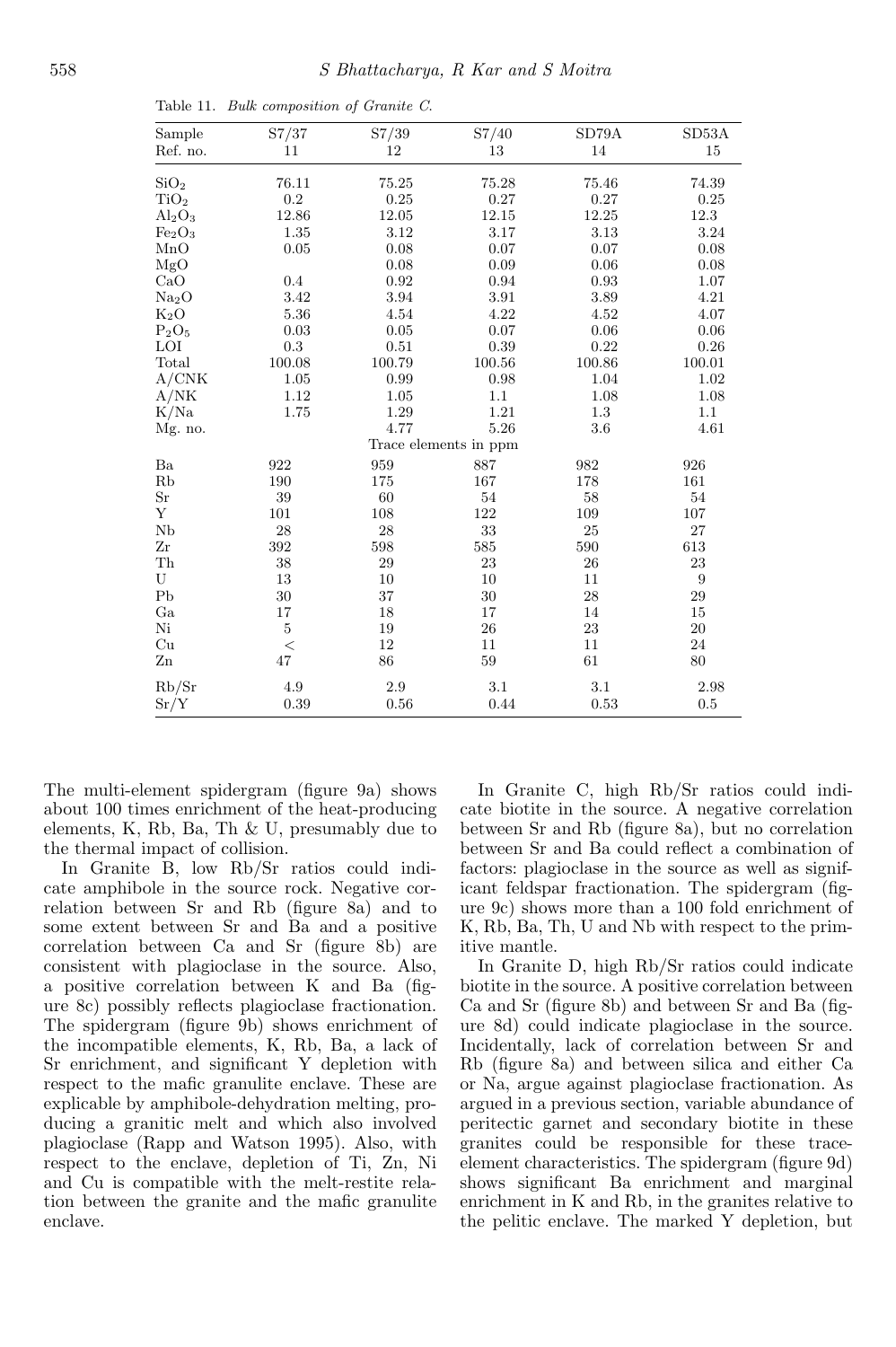| Sample                         | S7/37     | S7/39    | S7/40                 | SD79A  | SD53A            |
|--------------------------------|-----------|----------|-----------------------|--------|------------------|
| Ref. no.                       | 11        | 12       | 13                    | 14     | 15               |
| SiO <sub>2</sub>               | 76.11     | 75.25    | 75.28                 | 75.46  | 74.39            |
| TiO <sub>2</sub>               | $\rm 0.2$ | $0.25\,$ | 0.27                  | 0.27   | 0.25             |
| $Al_2O_3$                      | 12.86     | 12.05    | 12.15                 | 12.25  | 12.3             |
| Fe <sub>2</sub> O <sub>3</sub> | 1.35      | $3.12\,$ | 3.17                  | 3.13   | 3.24             |
| MnO                            | 0.05      | 0.08     | 0.07                  | 0.07   | 0.08             |
| MgO                            |           | 0.08     | 0.09                  | 0.06   | 0.08             |
| CaO                            | 0.4       | 0.92     | 0.94                  | 0.93   | 1.07             |
| Na <sub>2</sub> O              | 3.42      | 3.94     | 3.91                  | 3.89   | 4.21             |
| $K_2O$                         | 5.36      | 4.54     | 4.22                  | 4.52   | 4.07             |
| $P_2O_5$                       | 0.03      | 0.05     | 0.07                  | 0.06   | 0.06             |
| LOI                            | 0.3       | 0.51     | 0.39                  | 0.22   | 0.26             |
| Total                          | 100.08    | 100.79   | 100.56                | 100.86 | 100.01           |
| A/CNK                          | 1.05      | 0.99     | 0.98                  | 1.04   | 1.02             |
| A/NK                           | 1.12      | 1.05     | 1.1                   | 1.08   | 1.08             |
| K/Na                           | 1.75      | 1.29     | 1.21                  | 1.3    | $1.1\,$          |
| Mg. no.                        |           | 4.77     | 5.26                  | 3.6    | 4.61             |
|                                |           |          | Trace elements in ppm |        |                  |
| Ba                             | 922       | 959      | 887                   | 982    | 926              |
| Rb                             | 190       | 175      | 167                   | 178    | 161              |
| $\rm Sr$                       | 39        | 60       | 54                    | 58     | 54               |
| Y                              | 101       | 108      | 122                   | 109    | 107              |
| $_{\rm Nb}$                    | 28        | 28       | 33                    | 25     | 27               |
| Zr                             | 392       | 598      | 585                   | 590    | 613              |
| ${\rm Th}$                     | 38        | 29       | 23                    | 26     | 23               |
| U                              | 13        | 10       | 10                    | 11     | $\boldsymbol{9}$ |
| P <sub>b</sub>                 | 30        | 37       | 30                    | 28     | $\,29$           |
| Ga                             | 17        | 18       | 17                    | 14     | 15               |
| Ni                             | $\bf 5$   | 19       | 26                    | 23     | $20\,$           |
| Cu                             | $\,<\,$   | 12       | 11                    | 11     | $24\,$           |
| $_{\rm Zn}$                    | 47        | 86       | 59                    | 61     | 80               |
| Rb/Sr                          | $4.9\,$   | $2.9\,$  | 3.1                   | 3.1    | 2.98             |
| Sr/Y                           | 0.39      | 0.56     | 0.44                  | 0.53   | 0.5              |

Table 11. Bulk composition of Granite C.

The multi-element spidergram (figure 9a) shows about 100 times enrichment of the heat-producing elements, K, Rb, Ba, Th & U, presumably due to the thermal impact of collision.

In Granite B, low Rb/Sr ratios could indicate amphibole in the source rock. Negative correlation between Sr and Rb (figure 8a) and to some extent between Sr and Ba and a positive correlation between Ca and Sr (figure 8b) are consistent with plagioclase in the source. Also, a positive correlation between K and Ba (figure 8c) possibly reflects plagioclase fractionation. The spidergram (figure 9b) shows enrichment of the incompatible elements, K, Rb, Ba, a lack of Sr enrichment, and significant Y depletion with respect to the mafic granulite enclave. These are explicable by amphibole-dehydration melting, producing a granitic melt and which also involved plagioclase (Rapp and Watson 1995). Also, with respect to the enclave, depletion of Ti, Zn, Ni and Cu is compatible with the melt-restite relation between the granite and the mafic granulite enclave.

In Granite C, high Rb/Sr ratios could indicate biotite in the source. A negative correlation between Sr and Rb (figure 8a), but no correlation between Sr and Ba could reflect a combination of factors: plagioclase in the source as well as significant feldspar fractionation. The spidergram (figure 9c) shows more than a 100 fold enrichment of K, Rb, Ba, Th, U and Nb with respect to the primitive mantle.

In Granite D, high Rb/Sr ratios could indicate biotite in the source. A positive correlation between Ca and Sr (figure 8b) and between Sr and Ba (figure 8d) could indicate plagioclase in the source. Incidentally, lack of correlation between Sr and Rb (figure 8a) and between silica and either Ca or Na, argue against plagioclase fractionation. As argued in a previous section, variable abundance of peritectic garnet and secondary biotite in these granites could be responsible for these traceelement characteristics. The spidergram (figure 9d) shows significant Ba enrichment and marginal enrichment in K and Rb, in the granites relative to the pelitic enclave. The marked Y depletion, but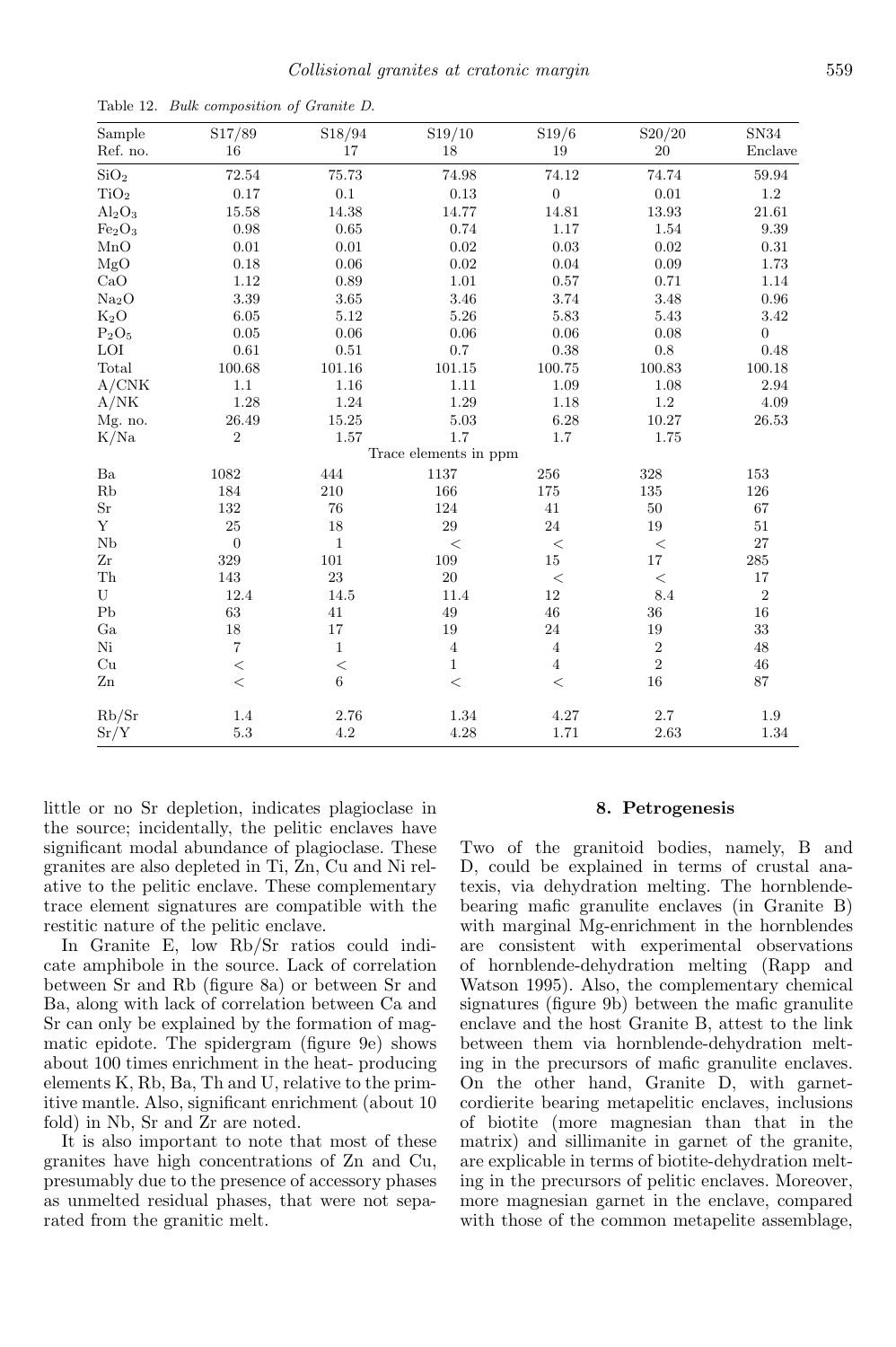| Sample<br>Ref. no.             | S17/89<br>16     | S18/94<br>17 | S19/10<br>18          | S19/6<br>19      | S20/20<br>20   | SN34<br>Enclave  |
|--------------------------------|------------------|--------------|-----------------------|------------------|----------------|------------------|
| SiO <sub>2</sub>               | 72.54            | 75.73        | 74.98                 | 74.12            | 74.74          | $59.94\,$        |
| TiO <sub>2</sub>               | $0.17\,$         | $0.1\,$      | 0.13                  | $\boldsymbol{0}$ | $\rm 0.01$     | $1.2\,$          |
| $Al_2O_3$                      | 15.58            | 14.38        | 14.77                 | 14.81            | $13.93\,$      | 21.61            |
| Fe <sub>2</sub> O <sub>3</sub> | 0.98             | 0.65         | 0.74                  | 1.17             | 1.54           | 9.39             |
| MnO                            | $0.01\,$         | $\rm 0.01$   | 0.02                  | $\rm 0.03$       | $\rm 0.02$     | $\rm 0.31$       |
| MgO                            | 0.18             | 0.06         | 0.02                  | 0.04             | 0.09           | 1.73             |
| CaO                            | 1.12             | 0.89         | 1.01                  | 0.57             | 0.71           | 1.14             |
| Na <sub>2</sub> O              | 3.39             | 3.65         | 3.46                  | 3.74             | 3.48           | 0.96             |
| $K_2O$                         | 6.05             | 5.12         | $5.26\,$              | $5.83\,$         | 5.43           | 3.42             |
| $P_2O_5$                       | $0.05\,$         | 0.06         | 0.06                  | 0.06             | 0.08           | $\boldsymbol{0}$ |
| $\rm LOI$                      | 0.61             | 0.51         | 0.7                   | 0.38             | $0.8\,$        | 0.48             |
| Total                          | 100.68           | 101.16       | 101.15                | 100.75           | $100.83\,$     | 100.18           |
| A/CNK                          | 1.1              | 1.16         | 1.11                  | 1.09             | 1.08           | 2.94             |
| A/NK                           | 1.28             | 1.24         | $1.29\,$              | 1.18             | $1.2\,$        | 4.09             |
| Mg. no.                        | 26.49            | 15.25        | 5.03                  | $6.28\,$         | $10.27\,$      | $26.53\,$        |
| K/Na                           | $\sqrt{2}$       | 1.57         | 1.7                   | 1.7              | 1.75           |                  |
|                                |                  |              | Trace elements in ppm |                  |                |                  |
| Ba                             | 1082             | 444          | $1137\,$              | 256              | 328            | 153              |
| Rb                             | 184              | 210          | 166                   | 175              | 135            | 126              |
| $\rm Sr$                       | 132              | $76\,$       | 124                   | 41               | $50\,$         | 67               |
| Y                              | $25\,$           | 18           | 29                    | 24               | $19\,$         | $51\,$           |
| Nb                             | $\boldsymbol{0}$ | $\mathbf{1}$ | $\,<\,$               | $\,<$            | $<\,$          | 27               |
| Zr                             | 329              | 101          | 109                   | $15\,$           | $17\,$         | $285\,$          |
| ${\rm Th}$                     | 143              | 23           | $20\,$                | $<\,$            | $\,<$          | 17               |
| U                              | 12.4             | 14.5         | $11.4\,$              | $12\,$           | 8.4            | $\,2$            |
| P <sub>b</sub>                 | 63               | 41           | $\rm 49$              | 46               | 36             | 16               |
| Ga                             | 18               | 17           | 19                    | 24               | 19             | 33               |
| Ni                             | $\,7$            | $\,1\,$      | $\overline{4}$        | $\overline{4}$   | $\sqrt{2}$     | $48\,$           |
| Cu                             | $\,<$            | $<\,$        | $\mathbf{1}$          | $\overline{4}$   | $\overline{2}$ | 46               |
| $\mathbf{Z}\mathbf{n}$         | $\,<$            | $\,6\,$      | $<\,$                 | $\,<$            | $16\,$         | $87\,$           |
| Rb/Sr                          | 1.4              | 2.76         | $1.34\,$              | $4.27\,$         | $2.7\,$        | $1.9\,$          |
| Sr/Y                           | $5.3\,$          | 4.2          | 4.28                  | 1.71             | 2.63           | 1.34             |

Table 12. Bulk composition of Granite D.

little or no Sr depletion, indicates plagioclase in the source; incidentally, the pelitic enclaves have significant modal abundance of plagioclase. These granites are also depleted in Ti, Zn, Cu and Ni relative to the pelitic enclave. These complementary trace element signatures are compatible with the restitic nature of the pelitic enclave.

In Granite E, low Rb/Sr ratios could indicate amphibole in the source. Lack of correlation between Sr and Rb (figure 8a) or between Sr and Ba, along with lack of correlation between Ca and Sr can only be explained by the formation of magmatic epidote. The spidergram (figure 9e) shows about 100 times enrichment in the heat- producing elements K, Rb, Ba, Th and U, relative to the primitive mantle. Also, significant enrichment (about 10 fold) in Nb, Sr and Zr are noted.

It is also important to note that most of these granites have high concentrations of Zn and Cu, presumably due to the presence of accessory phases as unmelted residual phases, that were not separated from the granitic melt.

#### 8. Petrogenesis

Two of the granitoid bodies, namely, B and D, could be explained in terms of crustal anatexis, via dehydration melting. The hornblendebearing mafic granulite enclaves (in Granite B) with marginal Mg-enrichment in the hornblendes are consistent with experimental observations of hornblende-dehydration melting (Rapp and Watson 1995). Also, the complementary chemical signatures (figure 9b) between the mafic granulite enclave and the host Granite B, attest to the link between them via hornblende-dehydration melting in the precursors of mafic granulite enclaves. On the other hand, Granite D, with garnetcordierite bearing metapelitic enclaves, inclusions of biotite (more magnesian than that in the matrix) and sillimanite in garnet of the granite, are explicable in terms of biotite-dehydration melting in the precursors of pelitic enclaves. Moreover, more magnesian garnet in the enclave, compared with those of the common metapelite assemblage,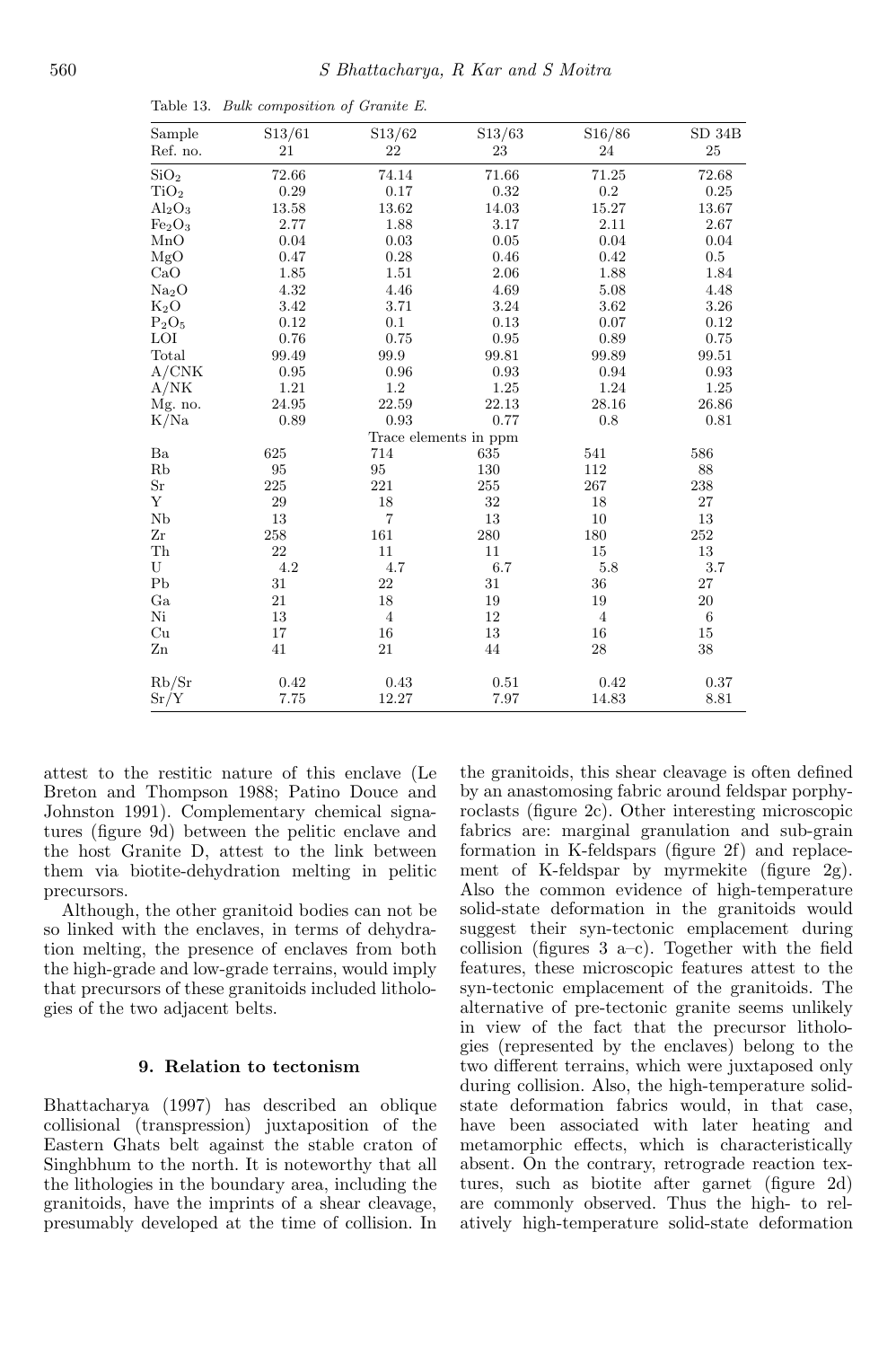| Sample                         | S13/61 | S13/62                | S13/63 | S16/86         | SD 34B           |
|--------------------------------|--------|-----------------------|--------|----------------|------------------|
| Ref. no.                       | 21     | 22                    | 23     | $24\,$         | $25\,$           |
| SiO <sub>2</sub>               | 72.66  | 74.14                 | 71.66  | 71.25          | 72.68            |
| TiO <sub>2</sub>               | 0.29   | 0.17                  | 0.32   | 0.2            | 0.25             |
| $Al_2O_3$                      | 13.58  | 13.62                 | 14.03  | 15.27          | 13.67            |
| Fe <sub>2</sub> O <sub>3</sub> | 2.77   | 1.88                  | 3.17   | 2.11           | 2.67             |
| MnO                            | 0.04   | 0.03                  | 0.05   | 0.04           | 0.04             |
| MgO                            | 0.47   | 0.28                  | 0.46   | 0.42           | 0.5              |
| CaO                            | 1.85   | 1.51                  | 2.06   | 1.88           | 1.84             |
| Na <sub>2</sub> O              | 4.32   | 4.46                  | 4.69   | 5.08           | 4.48             |
| $K_2O$                         | 3.42   | 3.71                  | 3.24   | 3.62           | 3.26             |
| $\mathrm{P}_2\mathrm{O}_5$     | 0.12   | 0.1                   | 0.13   | 0.07           | 0.12             |
| LOI                            | 0.76   | 0.75                  | 0.95   | 0.89           | 0.75             |
| Total                          | 99.49  | 99.9                  | 99.81  | 99.89          | 99.51            |
| A/CNK                          | 0.95   | 0.96                  | 0.93   | 0.94           | 0.93             |
| A/NK                           | 1.21   | $1.2\,$               | 1.25   | 1.24           | $1.25\,$         |
| Mg. no.                        | 24.95  | 22.59                 | 22.13  | 28.16          | 26.86            |
| K/Na                           | 0.89   | 0.93                  | 0.77   | 0.8            | 0.81             |
|                                |        | Trace elements in ppm |        |                |                  |
| Ba                             | 625    | 714                   | 635    | 541            | 586              |
| Rb                             | 95     | 95                    | 130    | 112            | 88               |
| $\rm Sr$                       | 225    | 221                   | 255    | 267            | 238              |
| Υ                              | 29     | 18                    | 32     | 18             | $27\,$           |
| Nb                             | 13     | $\overline{7}$        | 13     | 10             | 13               |
| Zr                             | 258    | 161                   | 280    | 180            | 252              |
| ${\rm Th}$                     | 22     | 11                    | 11     | 15             | 13               |
| $\mathbf U$                    | 4.2    | 4.7                   | 6.7    | 5.8            | 3.7              |
| ${\rm Pb}$                     | 31     | 22                    | 31     | 36             | $27\,$           |
| Ga                             | 21     | $18\,$                | 19     | 19             | $20\,$           |
| Ni                             | $13\,$ | $\overline{4}$        | 12     | $\overline{4}$ | $\boldsymbol{6}$ |
| Cu                             | 17     | 16                    | 13     | 16             | 15               |
| Zn                             | 41     | 21                    | 44     | 28             | 38               |
| Rb/Sr                          | 0.42   | 0.43                  | 0.51   | 0.42           | 0.37             |
| Sr/Y                           | 7.75   | 12.27                 | 7.97   | 14.83          | 8.81             |

Table 13. Bulk composition of Granite E.

attest to the restitic nature of this enclave (Le Breton and Thompson 1988; Patino Douce and Johnston 1991). Complementary chemical signatures (figure 9d) between the pelitic enclave and the host Granite D, attest to the link between them via biotite-dehydration melting in pelitic precursors.

Although, the other granitoid bodies can not be so linked with the enclaves, in terms of dehydration melting, the presence of enclaves from both the high-grade and low-grade terrains, would imply that precursors of these granitoids included lithologies of the two adjacent belts.

### 9. Relation to tectonism

Bhattacharya (1997) has described an oblique collisional (transpression) juxtaposition of the Eastern Ghats belt against the stable craton of Singhbhum to the north. It is noteworthy that all the lithologies in the boundary area, including the granitoids, have the imprints of a shear cleavage, presumably developed at the time of collision. In the granitoids, this shear cleavage is often defined by an anastomosing fabric around feldspar porphyroclasts (figure 2c). Other interesting microscopic fabrics are: marginal granulation and sub-grain formation in K-feldspars (figure 2f) and replacement of K-feldspar by myrmekite (figure 2g). Also the common evidence of high-temperature solid-state deformation in the granitoids would suggest their syn-tectonic emplacement during collision (figures 3 a–c). Together with the field features, these microscopic features attest to the syn-tectonic emplacement of the granitoids. The alternative of pre-tectonic granite seems unlikely in view of the fact that the precursor lithologies (represented by the enclaves) belong to the two different terrains, which were juxtaposed only during collision. Also, the high-temperature solidstate deformation fabrics would, in that case, have been associated with later heating and metamorphic effects, which is characteristically absent. On the contrary, retrograde reaction textures, such as biotite after garnet (figure 2d) are commonly observed. Thus the high- to relatively high-temperature solid-state deformation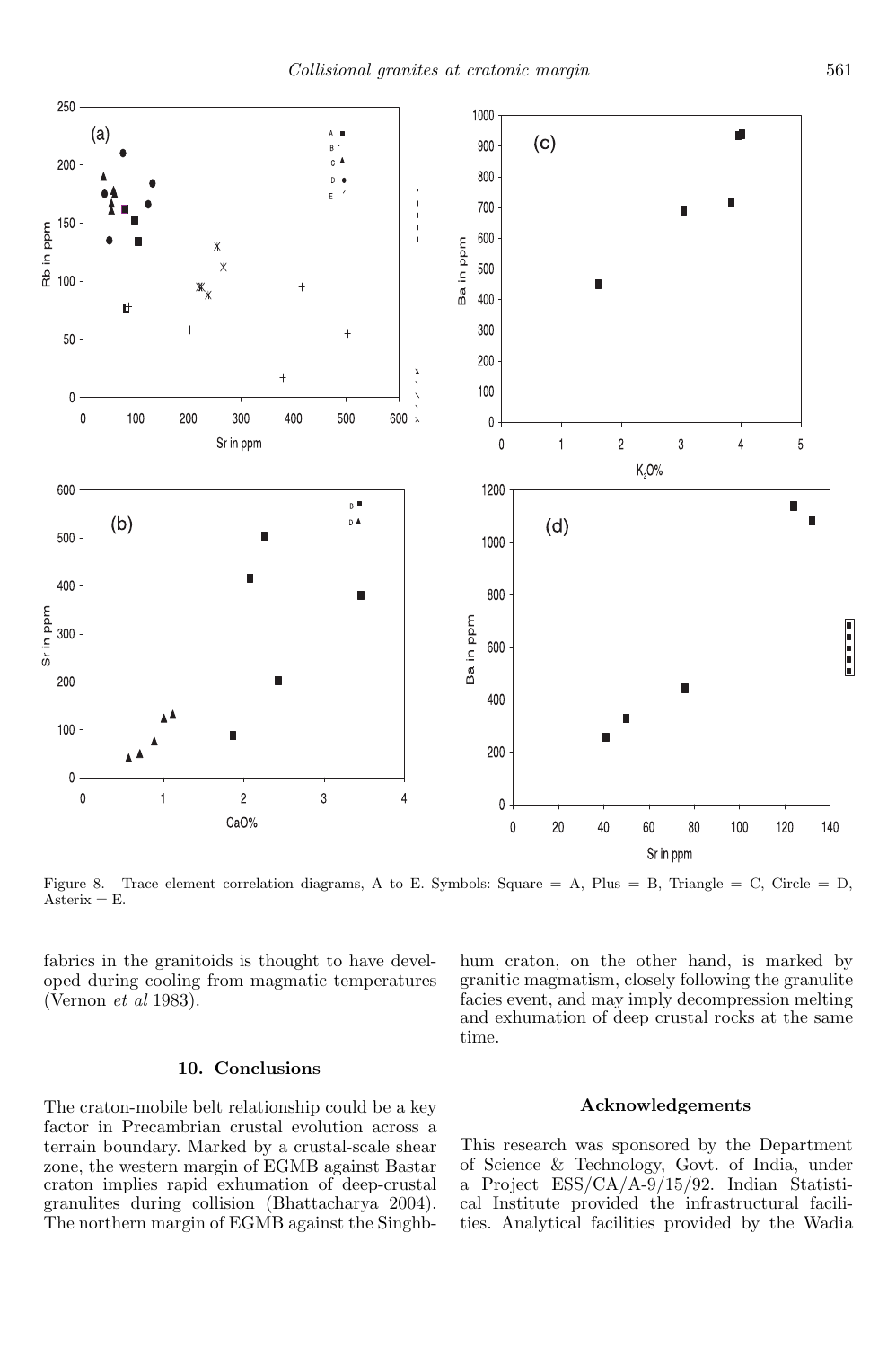

Figure 8. Trace element correlation diagrams, A to E. Symbols: Square = A, Plus = B, Triangle = C, Circle = D, Asterix  $=$  E.

fabrics in the granitoids is thought to have developed during cooling from magmatic temperatures (Vernon *et al* 1983).

#### 10. Conclusions

The craton-mobile belt relationship could be a key factor in Precambrian crustal evolution across a terrain boundary. Marked by a crustal-scale shear zone, the western margin of EGMB against Bastar craton implies rapid exhumation of deep-crustal granulites during collision (Bhattacharya 2004). The northern margin of EGMB against the Singhbhum craton, on the other hand, is marked by granitic magmatism, closely following the granulite facies event, and may imply decompression melting and exhumation of deep crustal rocks at the same time.

### Acknowledgements

This research was sponsored by the Department of Science & Technology, Govt. of India, under a Project ESS/CA/A-9/15/92. Indian Statistical Institute provided the infrastructural facilities. Analytical facilities provided by the Wadia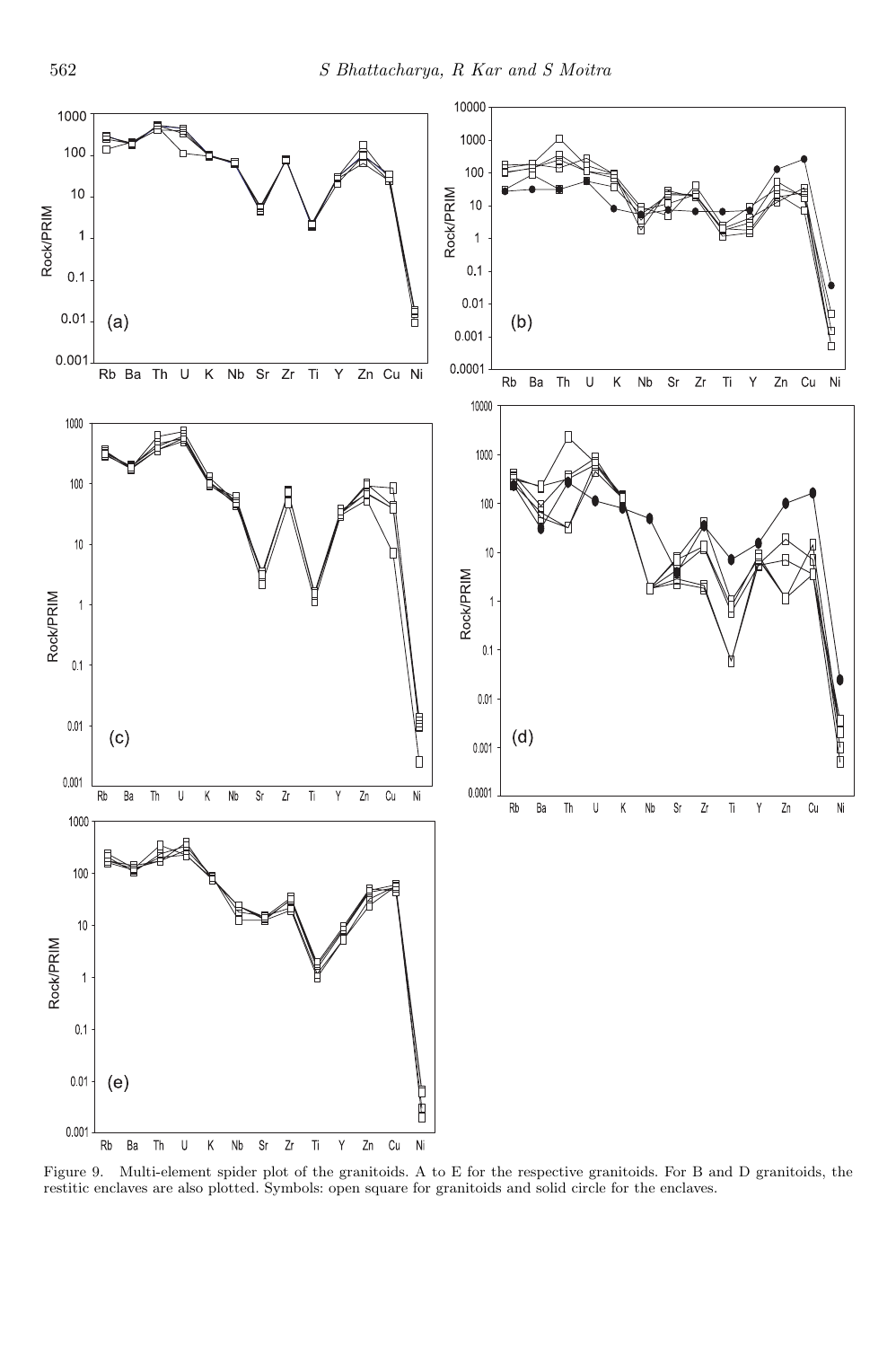

Figure 9. Multi-element spider plot of the granitoids. A to E for the respective granitoids. For B and D granitoids, the restitic enclaves are also plotted. Symbols: open square for granitoids and solid circle for the enclaves.